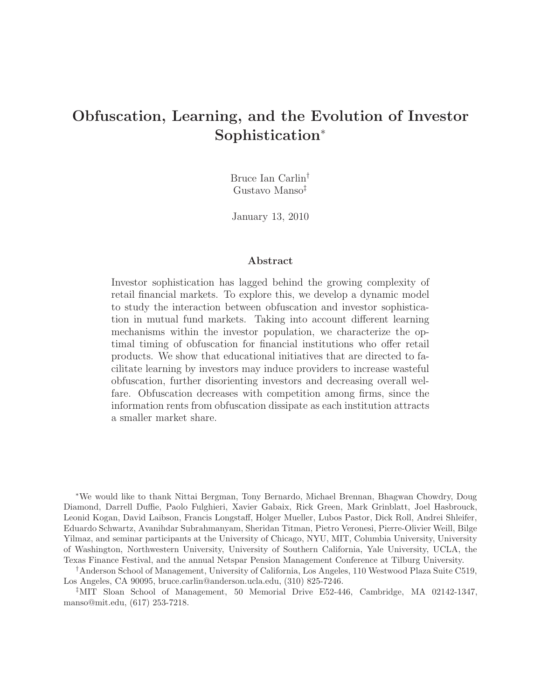# Obfuscation, Learning, and the Evolution of Investor Sophistication<sup>∗</sup>

Bruce Ian Carlin† Gustavo Manso‡

January 13, 2010

#### Abstract

Investor sophistication has lagged behind the growing complexity of retail financial markets. To explore this, we develop a dynamic model to study the interaction between obfuscation and investor sophistication in mutual fund markets. Taking into account different learning mechanisms within the investor population, we characterize the optimal timing of obfuscation for financial institutions who offer retail products. We show that educational initiatives that are directed to facilitate learning by investors may induce providers to increase wasteful obfuscation, further disorienting investors and decreasing overall welfare. Obfuscation decreases with competition among firms, since the information rents from obfuscation dissipate as each institution attracts a smaller market share.

<sup>∗</sup>We would like to thank Nittai Bergman, Tony Bernardo, Michael Brennan, Bhagwan Chowdry, Doug Diamond, Darrell Duffie, Paolo Fulghieri, Xavier Gabaix, Rick Green, Mark Grinblatt, Joel Hasbrouck, Leonid Kogan, David Laibson, Francis Longstaff, Holger Mueller, Lubos Pastor, Dick Roll, Andrei Shleifer, Eduardo Schwartz, Avanihdar Subrahmanyam, Sheridan Titman, Pietro Veronesi, Pierre-Olivier Weill, Bilge Yilmaz, and seminar participants at the University of Chicago, NYU, MIT, Columbia University, University of Washington, Northwestern University, University of Southern California, Yale University, UCLA, the Texas Finance Festival, and the annual Netspar Pension Management Conference at Tilburg University.

†Anderson School of Management, University of California, Los Angeles, 110 Westwood Plaza Suite C519, Los Angeles, CA 90095, bruce.carlin@anderson.ucla.edu, (310) 825-7246.

‡MIT Sloan School of Management, 50 Memorial Drive E52-446, Cambridge, MA 02142-1347, manso@mit.edu, (617) 253-7218.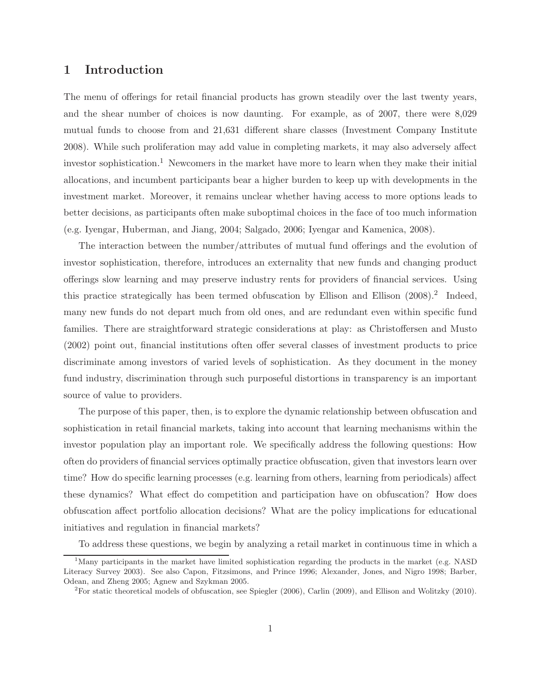### 1 Introduction

The menu of offerings for retail financial products has grown steadily over the last twenty years, and the shear number of choices is now daunting. For example, as of 2007, there were 8,029 mutual funds to choose from and 21,631 different share classes (Investment Company Institute 2008). While such proliferation may add value in completing markets, it may also adversely affect investor sophistication.<sup>1</sup> Newcomers in the market have more to learn when they make their initial allocations, and incumbent participants bear a higher burden to keep up with developments in the investment market. Moreover, it remains unclear whether having access to more options leads to better decisions, as participants often make suboptimal choices in the face of too much information (e.g. Iyengar, Huberman, and Jiang, 2004; Salgado, 2006; Iyengar and Kamenica, 2008).

The interaction between the number/attributes of mutual fund offerings and the evolution of investor sophistication, therefore, introduces an externality that new funds and changing product offerings slow learning and may preserve industry rents for providers of financial services. Using this practice strategically has been termed obfuscation by Ellison and Ellison (2008).<sup>2</sup> Indeed, many new funds do not depart much from old ones, and are redundant even within specific fund families. There are straightforward strategic considerations at play: as Christoffersen and Musto (2002) point out, financial institutions often offer several classes of investment products to price discriminate among investors of varied levels of sophistication. As they document in the money fund industry, discrimination through such purposeful distortions in transparency is an important source of value to providers.

The purpose of this paper, then, is to explore the dynamic relationship between obfuscation and sophistication in retail financial markets, taking into account that learning mechanisms within the investor population play an important role. We specifically address the following questions: How often do providers of financial services optimally practice obfuscation, given that investors learn over time? How do specific learning processes (e.g. learning from others, learning from periodicals) affect these dynamics? What effect do competition and participation have on obfuscation? How does obfuscation affect portfolio allocation decisions? What are the policy implications for educational initiatives and regulation in financial markets?

To address these questions, we begin by analyzing a retail market in continuous time in which a

<sup>&</sup>lt;sup>1</sup>Many participants in the market have limited sophistication regarding the products in the market (e.g. NASD) Literacy Survey 2003). See also Capon, Fitzsimons, and Prince 1996; Alexander, Jones, and Nigro 1998; Barber, Odean, and Zheng 2005; Agnew and Szykman 2005.

<sup>&</sup>lt;sup>2</sup>For static theoretical models of obfuscation, see Spiegler  $(2006)$ , Carlin  $(2009)$ , and Ellison and Wolitzky  $(2010)$ .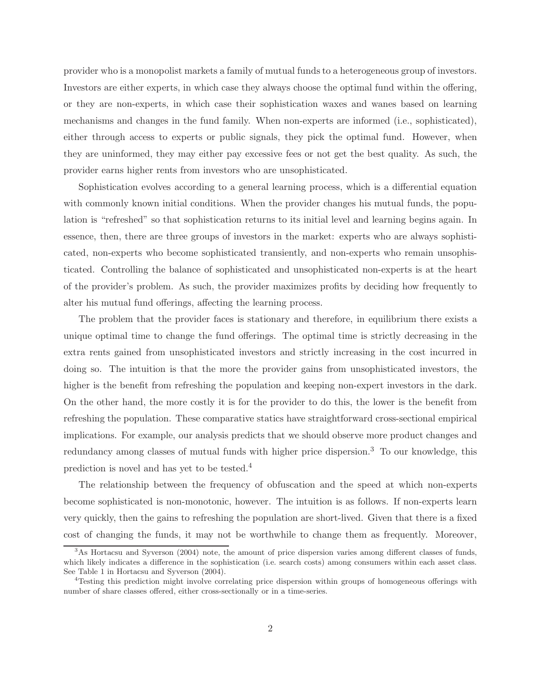provider who is a monopolist markets a family of mutual funds to a heterogeneous group of investors. Investors are either experts, in which case they always choose the optimal fund within the offering, or they are non-experts, in which case their sophistication waxes and wanes based on learning mechanisms and changes in the fund family. When non-experts are informed (i.e., sophisticated), either through access to experts or public signals, they pick the optimal fund. However, when they are uninformed, they may either pay excessive fees or not get the best quality. As such, the provider earns higher rents from investors who are unsophisticated.

Sophistication evolves according to a general learning process, which is a differential equation with commonly known initial conditions. When the provider changes his mutual funds, the population is "refreshed" so that sophistication returns to its initial level and learning begins again. In essence, then, there are three groups of investors in the market: experts who are always sophisticated, non-experts who become sophisticated transiently, and non-experts who remain unsophisticated. Controlling the balance of sophisticated and unsophisticated non-experts is at the heart of the provider's problem. As such, the provider maximizes profits by deciding how frequently to alter his mutual fund offerings, affecting the learning process.

The problem that the provider faces is stationary and therefore, in equilibrium there exists a unique optimal time to change the fund offerings. The optimal time is strictly decreasing in the extra rents gained from unsophisticated investors and strictly increasing in the cost incurred in doing so. The intuition is that the more the provider gains from unsophisticated investors, the higher is the benefit from refreshing the population and keeping non-expert investors in the dark. On the other hand, the more costly it is for the provider to do this, the lower is the benefit from refreshing the population. These comparative statics have straightforward cross-sectional empirical implications. For example, our analysis predicts that we should observe more product changes and redundancy among classes of mutual funds with higher price dispersion.<sup>3</sup> To our knowledge, this prediction is novel and has yet to be tested.<sup>4</sup>

The relationship between the frequency of obfuscation and the speed at which non-experts become sophisticated is non-monotonic, however. The intuition is as follows. If non-experts learn very quickly, then the gains to refreshing the population are short-lived. Given that there is a fixed cost of changing the funds, it may not be worthwhile to change them as frequently. Moreover,

<sup>3</sup>As Hortacsu and Syverson (2004) note, the amount of price dispersion varies among different classes of funds, which likely indicates a difference in the sophistication (i.e. search costs) among consumers within each asset class. See Table 1 in Hortacsu and Syverson (2004).

<sup>4</sup>Testing this prediction might involve correlating price dispersion within groups of homogeneous offerings with number of share classes offered, either cross-sectionally or in a time-series.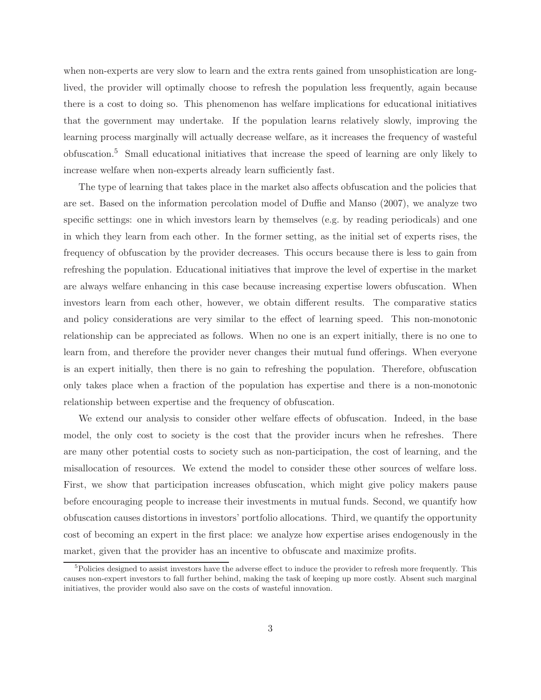when non-experts are very slow to learn and the extra rents gained from unsophistication are longlived, the provider will optimally choose to refresh the population less frequently, again because there is a cost to doing so. This phenomenon has welfare implications for educational initiatives that the government may undertake. If the population learns relatively slowly, improving the learning process marginally will actually decrease welfare, as it increases the frequency of wasteful obfuscation.<sup>5</sup> Small educational initiatives that increase the speed of learning are only likely to increase welfare when non-experts already learn sufficiently fast.

The type of learning that takes place in the market also affects obfuscation and the policies that are set. Based on the information percolation model of Duffie and Manso (2007), we analyze two specific settings: one in which investors learn by themselves (e.g. by reading periodicals) and one in which they learn from each other. In the former setting, as the initial set of experts rises, the frequency of obfuscation by the provider decreases. This occurs because there is less to gain from refreshing the population. Educational initiatives that improve the level of expertise in the market are always welfare enhancing in this case because increasing expertise lowers obfuscation. When investors learn from each other, however, we obtain different results. The comparative statics and policy considerations are very similar to the effect of learning speed. This non-monotonic relationship can be appreciated as follows. When no one is an expert initially, there is no one to learn from, and therefore the provider never changes their mutual fund offerings. When everyone is an expert initially, then there is no gain to refreshing the population. Therefore, obfuscation only takes place when a fraction of the population has expertise and there is a non-monotonic relationship between expertise and the frequency of obfuscation.

We extend our analysis to consider other welfare effects of obfuscation. Indeed, in the base model, the only cost to society is the cost that the provider incurs when he refreshes. There are many other potential costs to society such as non-participation, the cost of learning, and the misallocation of resources. We extend the model to consider these other sources of welfare loss. First, we show that participation increases obfuscation, which might give policy makers pause before encouraging people to increase their investments in mutual funds. Second, we quantify how obfuscation causes distortions in investors' portfolio allocations. Third, we quantify the opportunity cost of becoming an expert in the first place: we analyze how expertise arises endogenously in the market, given that the provider has an incentive to obfuscate and maximize profits.

<sup>&</sup>lt;sup>5</sup>Policies designed to assist investors have the adverse effect to induce the provider to refresh more frequently. This causes non-expert investors to fall further behind, making the task of keeping up more costly. Absent such marginal initiatives, the provider would also save on the costs of wasteful innovation.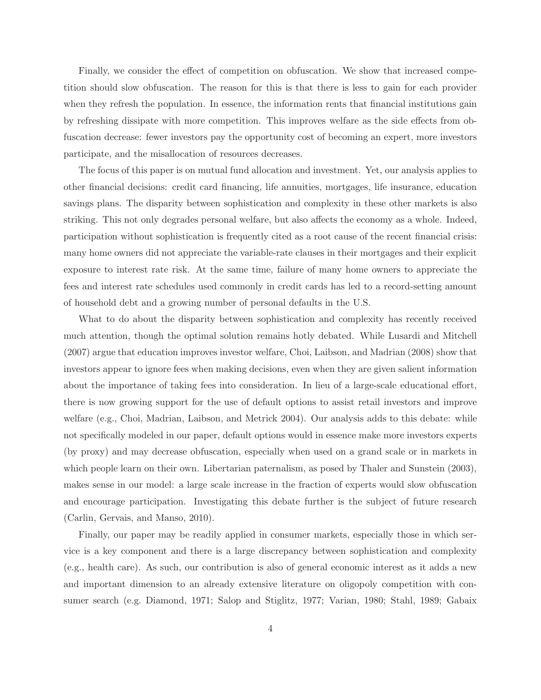Finally, we consider the effect of competition on obfuscation. We show that increased competition should slow obfuscation. The reason for this is that there is less to gain for each provider when they refresh the population. In essence, the information rents that financial institutions gain by refreshing dissipate with more competition. This improves welfare as the side effects from obfuscation decrease: fewer investors pay the opportunity cost of becoming an expert, more investors participate, and the misallocation of resources decreases.

The focus of this paper is on mutual fund allocation and investment. Yet, our analysis applies to other financial decisions: credit card financing, life annuities, mortgages, life insurance, education savings plans. The disparity between sophistication and complexity in these other markets is also striking. This not only degrades personal welfare, but also affects the economy as a whole. Indeed, participation without sophistication is frequently cited as a root cause of the recent financial crisis: many home owners did not appreciate the variable-rate clauses in their mortgages and their explicit exposure to interest rate risk. At the same time, failure of many home owners to appreciate the fees and interest rate schedules used commonly in credit cards has led to a record-setting amount of household debt and a growing number of personal defaults in the U.S.

What to do about the disparity between sophistication and complexity has recently received much attention, though the optimal solution remains hotly debated. While Lusardi and Mitchell (2007) argue that education improves investor welfare, Choi, Laibson, and Madrian (2008) show that investors appear to ignore fees when making decisions, even when they are given salient information about the importance of taking fees into consideration. In lieu of a large-scale educational effort, there is now growing support for the use of default options to assist retail investors and improve welfare (e.g., Choi, Madrian, Laibson, and Metrick 2004). Our analysis adds to this debate: while not specifically modeled in our paper, default options would in essence make more investors experts (by proxy) and may decrease obfuscation, especially when used on a grand scale or in markets in which people learn on their own. Libertarian paternalism, as posed by Thaler and Sunstein (2003), makes sense in our model: a large scale increase in the fraction of experts would slow obfuscation and encourage participation. Investigating this debate further is the subject of future research (Carlin, Gervais, and Manso, 2010).

Finally, our paper may be readily applied in consumer markets, especially those in which service is a key component and there is a large discrepancy between sophistication and complexity (e.g., health care). As such, our contribution is also of general economic interest as it adds a new and important dimension to an already extensive literature on oligopoly competition with consumer search (e.g. Diamond, 1971; Salop and Stiglitz, 1977; Varian, 1980; Stahl, 1989; Gabaix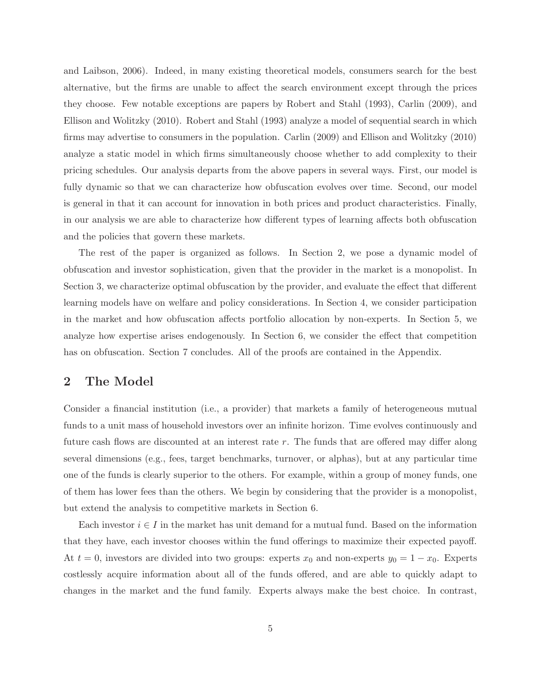and Laibson, 2006). Indeed, in many existing theoretical models, consumers search for the best alternative, but the firms are unable to affect the search environment except through the prices they choose. Few notable exceptions are papers by Robert and Stahl (1993), Carlin (2009), and Ellison and Wolitzky (2010). Robert and Stahl (1993) analyze a model of sequential search in which firms may advertise to consumers in the population. Carlin (2009) and Ellison and Wolitzky (2010) analyze a static model in which firms simultaneously choose whether to add complexity to their pricing schedules. Our analysis departs from the above papers in several ways. First, our model is fully dynamic so that we can characterize how obfuscation evolves over time. Second, our model is general in that it can account for innovation in both prices and product characteristics. Finally, in our analysis we are able to characterize how different types of learning affects both obfuscation and the policies that govern these markets.

The rest of the paper is organized as follows. In Section 2, we pose a dynamic model of obfuscation and investor sophistication, given that the provider in the market is a monopolist. In Section 3, we characterize optimal obfuscation by the provider, and evaluate the effect that different learning models have on welfare and policy considerations. In Section 4, we consider participation in the market and how obfuscation affects portfolio allocation by non-experts. In Section 5, we analyze how expertise arises endogenously. In Section 6, we consider the effect that competition has on obfuscation. Section 7 concludes. All of the proofs are contained in the Appendix.

### 2 The Model

Consider a financial institution (i.e., a provider) that markets a family of heterogeneous mutual funds to a unit mass of household investors over an infinite horizon. Time evolves continuously and future cash flows are discounted at an interest rate r. The funds that are offered may differ along several dimensions (e.g., fees, target benchmarks, turnover, or alphas), but at any particular time one of the funds is clearly superior to the others. For example, within a group of money funds, one of them has lower fees than the others. We begin by considering that the provider is a monopolist, but extend the analysis to competitive markets in Section 6.

Each investor  $i \in I$  in the market has unit demand for a mutual fund. Based on the information that they have, each investor chooses within the fund offerings to maximize their expected payoff. At  $t = 0$ , investors are divided into two groups: experts  $x_0$  and non-experts  $y_0 = 1 - x_0$ . Experts costlessly acquire information about all of the funds offered, and are able to quickly adapt to changes in the market and the fund family. Experts always make the best choice. In contrast,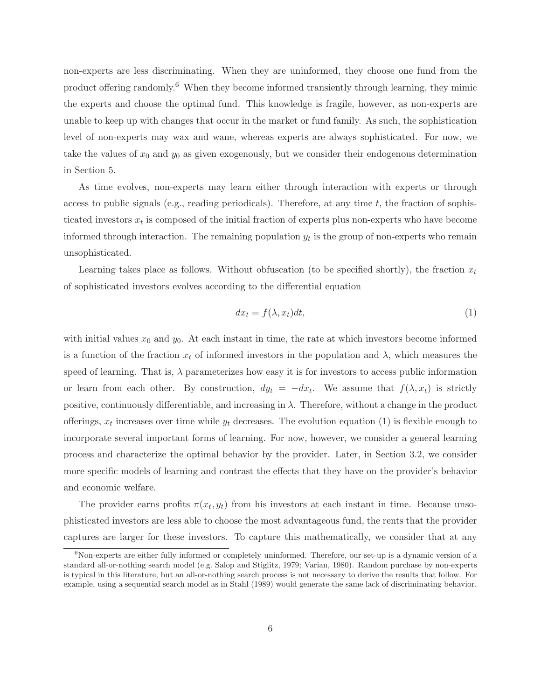non-experts are less discriminating. When they are uninformed, they choose one fund from the product offering randomly.<sup>6</sup> When they become informed transiently through learning, they mimic the experts and choose the optimal fund. This knowledge is fragile, however, as non-experts are unable to keep up with changes that occur in the market or fund family. As such, the sophistication level of non-experts may wax and wane, whereas experts are always sophisticated. For now, we take the values of  $x_0$  and  $y_0$  as given exogenously, but we consider their endogenous determination in Section 5.

As time evolves, non-experts may learn either through interaction with experts or through access to public signals (e.g., reading periodicals). Therefore, at any time  $t$ , the fraction of sophisticated investors  $x_t$  is composed of the initial fraction of experts plus non-experts who have become informed through interaction. The remaining population  $y_t$  is the group of non-experts who remain unsophisticated.

Learning takes place as follows. Without obfuscation (to be specified shortly), the fraction  $x_t$ of sophisticated investors evolves according to the differential equation

$$
dx_t = f(\lambda, x_t)dt,\t\t(1)
$$

with initial values  $x_0$  and  $y_0$ . At each instant in time, the rate at which investors become informed is a function of the fraction  $x_t$  of informed investors in the population and  $\lambda$ , which measures the speed of learning. That is,  $\lambda$  parameterizes how easy it is for investors to access public information or learn from each other. By construction,  $dy_t = -dx_t$ . We assume that  $f(\lambda, x_t)$  is strictly positive, continuously differentiable, and increasing in  $\lambda$ . Therefore, without a change in the product offerings,  $x_t$  increases over time while  $y_t$  decreases. The evolution equation (1) is flexible enough to incorporate several important forms of learning. For now, however, we consider a general learning process and characterize the optimal behavior by the provider. Later, in Section 3.2, we consider more specific models of learning and contrast the effects that they have on the provider's behavior and economic welfare.

The provider earns profits  $\pi(x_t, y_t)$  from his investors at each instant in time. Because unsophisticated investors are less able to choose the most advantageous fund, the rents that the provider captures are larger for these investors. To capture this mathematically, we consider that at any

 $6$ Non-experts are either fully informed or completely uninformed. Therefore, our set-up is a dynamic version of a standard all-or-nothing search model (e.g. Salop and Stiglitz, 1979; Varian, 1980). Random purchase by non-experts is typical in this literature, but an all-or-nothing search process is not necessary to derive the results that follow. For example, using a sequential search model as in Stahl (1989) would generate the same lack of discriminating behavior.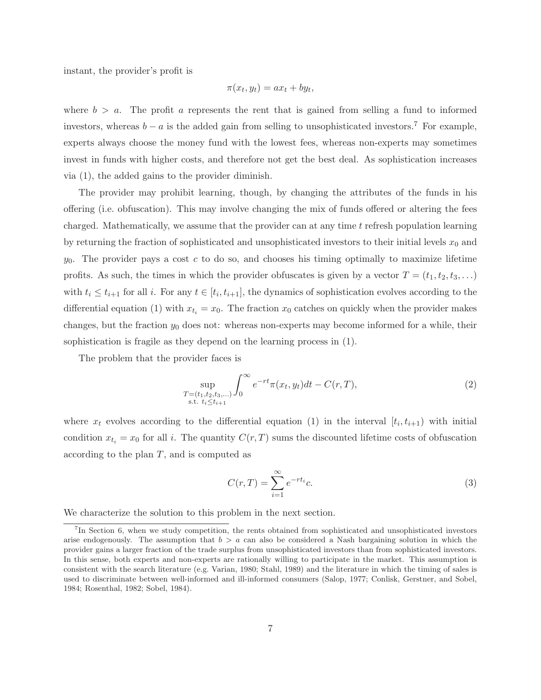instant, the provider's profit is

$$
\pi(x_t, y_t) = ax_t + by_t,
$$

where  $b > a$ . The profit a represents the rent that is gained from selling a fund to informed investors, whereas  $b - a$  is the added gain from selling to unsophisticated investors.<sup>7</sup> For example, experts always choose the money fund with the lowest fees, whereas non-experts may sometimes invest in funds with higher costs, and therefore not get the best deal. As sophistication increases via (1), the added gains to the provider diminish.

The provider may prohibit learning, though, by changing the attributes of the funds in his offering (i.e. obfuscation). This may involve changing the mix of funds offered or altering the fees charged. Mathematically, we assume that the provider can at any time  $t$  refresh population learning by returning the fraction of sophisticated and unsophisticated investors to their initial levels  $x_0$  and  $y_0$ . The provider pays a cost c to do so, and chooses his timing optimally to maximize lifetime profits. As such, the times in which the provider obfuscates is given by a vector  $T = (t_1, t_2, t_3, \ldots)$ with  $t_i \leq t_{i+1}$  for all i. For any  $t \in [t_i, t_{i+1}]$ , the dynamics of sophistication evolves according to the differential equation (1) with  $x_{t_i} = x_0$ . The fraction  $x_0$  catches on quickly when the provider makes changes, but the fraction  $y_0$  does not: whereas non-experts may become informed for a while, their sophistication is fragile as they depend on the learning process in (1).

The problem that the provider faces is

$$
\sup_{\substack{T=(t_1,t_2,t_3,...)\\ \text{s.t. } t_i \le t_{i+1}}} \int_0^\infty e^{-rt} \pi(x_t, y_t) dt - C(r,T),\tag{2}
$$

where  $x_t$  evolves according to the differential equation (1) in the interval  $[t_i, t_{i+1})$  with initial condition  $x_{t_i} = x_0$  for all i. The quantity  $C(r, T)$  sums the discounted lifetime costs of obfuscation according to the plan  $T$ , and is computed as

$$
C(r,T) = \sum_{i=1}^{\infty} e^{-rt_i}c.
$$
\n(3)

We characterize the solution to this problem in the next section.

<sup>&</sup>lt;sup>7</sup>In Section 6, when we study competition, the rents obtained from sophisticated and unsophisticated investors arise endogenously. The assumption that  $b > a$  can also be considered a Nash bargaining solution in which the provider gains a larger fraction of the trade surplus from unsophisticated investors than from sophisticated investors. In this sense, both experts and non-experts are rationally willing to participate in the market. This assumption is consistent with the search literature (e.g. Varian, 1980; Stahl, 1989) and the literature in which the timing of sales is used to discriminate between well-informed and ill-informed consumers (Salop, 1977; Conlisk, Gerstner, and Sobel, 1984; Rosenthal, 1982; Sobel, 1984).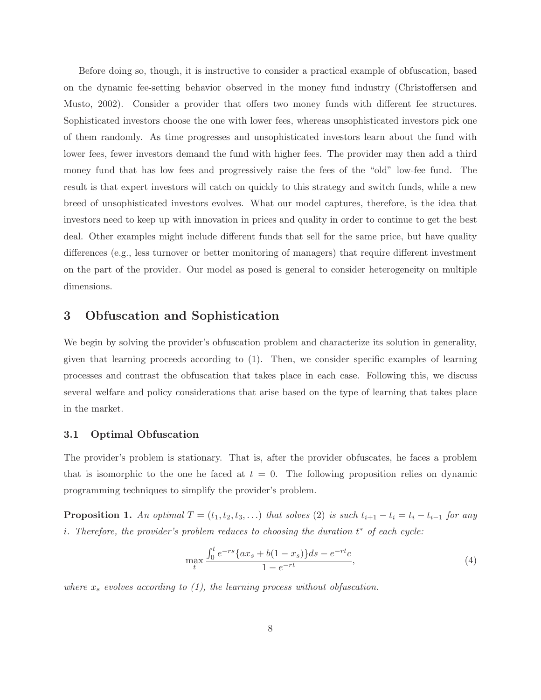Before doing so, though, it is instructive to consider a practical example of obfuscation, based on the dynamic fee-setting behavior observed in the money fund industry (Christoffersen and Musto, 2002). Consider a provider that offers two money funds with different fee structures. Sophisticated investors choose the one with lower fees, whereas unsophisticated investors pick one of them randomly. As time progresses and unsophisticated investors learn about the fund with lower fees, fewer investors demand the fund with higher fees. The provider may then add a third money fund that has low fees and progressively raise the fees of the "old" low-fee fund. The result is that expert investors will catch on quickly to this strategy and switch funds, while a new breed of unsophisticated investors evolves. What our model captures, therefore, is the idea that investors need to keep up with innovation in prices and quality in order to continue to get the best deal. Other examples might include different funds that sell for the same price, but have quality differences (e.g., less turnover or better monitoring of managers) that require different investment on the part of the provider. Our model as posed is general to consider heterogeneity on multiple dimensions.

### 3 Obfuscation and Sophistication

We begin by solving the provider's obfuscation problem and characterize its solution in generality, given that learning proceeds according to (1). Then, we consider specific examples of learning processes and contrast the obfuscation that takes place in each case. Following this, we discuss several welfare and policy considerations that arise based on the type of learning that takes place in the market.

### 3.1 Optimal Obfuscation

The provider's problem is stationary. That is, after the provider obfuscates, he faces a problem that is isomorphic to the one he faced at  $t = 0$ . The following proposition relies on dynamic programming techniques to simplify the provider's problem.

**Proposition 1.** An optimal  $T = (t_1, t_2, t_3, \ldots)$  that solves (2) is such  $t_{i+1} - t_i = t_i - t_{i-1}$  for any i. Therefore, the provider's problem reduces to choosing the duration  $t^*$  of each cycle:

$$
\max_{t} \frac{\int_{0}^{t} e^{-rs} \{ax_s + b(1 - x_s)\} ds - e^{-rt}c}{1 - e^{-rt}},\tag{4}
$$

where  $x_s$  evolves according to (1), the learning process without obfuscation.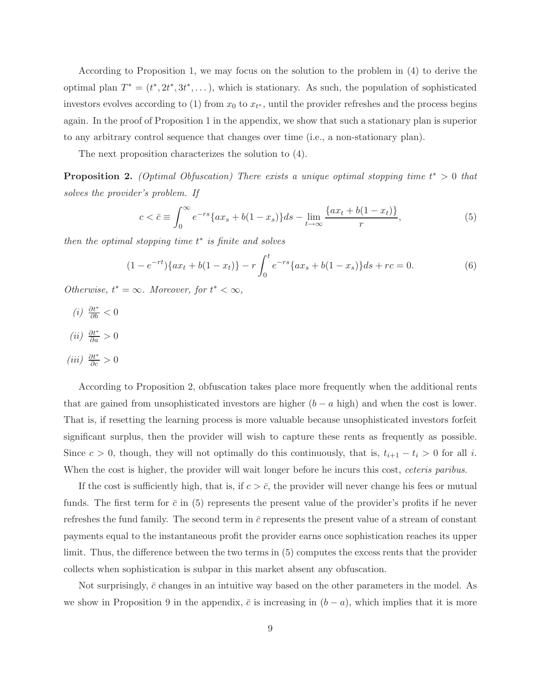According to Proposition 1, we may focus on the solution to the problem in (4) to derive the optimal plan  $T^* = (t^*, 2t^*, 3t^*, \dots)$ , which is stationary. As such, the population of sophisticated investors evolves according to (1) from  $x_0$  to  $x_{t^*}$ , until the provider refreshes and the process begins again. In the proof of Proposition 1 in the appendix, we show that such a stationary plan is superior to any arbitrary control sequence that changes over time (i.e., a non-stationary plan).

The next proposition characterizes the solution to (4).

**Proposition 2.** (Optimal Obfuscation) There exists a unique optimal stopping time  $t^* > 0$  that solves the provider's problem. If

$$
c < \bar{c} \equiv \int_0^\infty e^{-rs} \{ax_s + b(1 - x_s)\} ds - \lim_{t \to \infty} \frac{\{ax_t + b(1 - x_t)\}}{r},\tag{5}
$$

then the optimal stopping time  $t^*$  is finite and solves

$$
(1 - e^{-rt})\{ax_t + b(1 - x_t)\} - r\int_0^t e^{-rs}\{ax_s + b(1 - x_s)\}ds + rc = 0.
$$
 (6)

Otherwise,  $t^* = \infty$ . Moreover, for  $t^* < \infty$ ,

- (*i*)  $\frac{\partial t^*}{\partial b} < 0$
- (*ii*)  $\frac{\partial t^*}{\partial a} > 0$
- (iii)  $\frac{\partial t^*}{\partial c} > 0$

According to Proposition 2, obfuscation takes place more frequently when the additional rents that are gained from unsophisticated investors are higher  $(b - a \text{ high})$  and when the cost is lower. That is, if resetting the learning process is more valuable because unsophisticated investors forfeit significant surplus, then the provider will wish to capture these rents as frequently as possible. Since  $c > 0$ , though, they will not optimally do this continuously, that is,  $t_{i+1} - t_i > 0$  for all i. When the cost is higher, the provider will wait longer before he incurs this cost, ceteris paribus.

If the cost is sufficiently high, that is, if  $c > \bar{c}$ , the provider will never change his fees or mutual funds. The first term for  $\bar{c}$  in (5) represents the present value of the provider's profits if he never refreshes the fund family. The second term in  $\bar{c}$  represents the present value of a stream of constant payments equal to the instantaneous profit the provider earns once sophistication reaches its upper limit. Thus, the difference between the two terms in (5) computes the excess rents that the provider collects when sophistication is subpar in this market absent any obfuscation.

Not surprisingly,  $\bar{c}$  changes in an intuitive way based on the other parameters in the model. As we show in Proposition 9 in the appendix,  $\bar{c}$  is increasing in  $(b - a)$ , which implies that it is more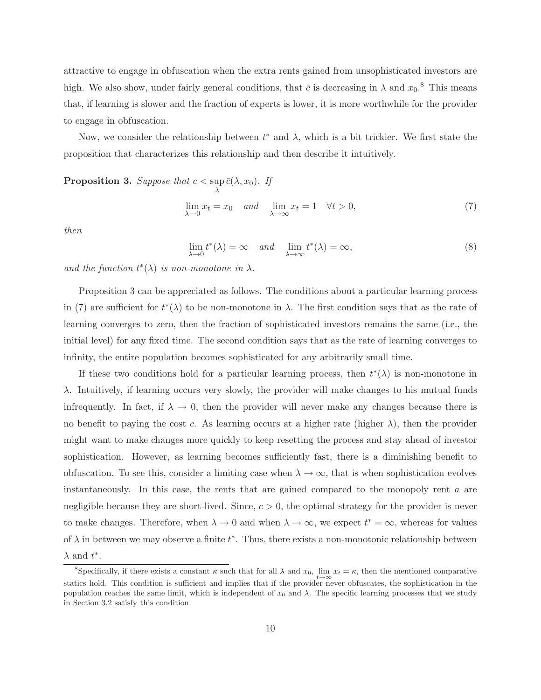attractive to engage in obfuscation when the extra rents gained from unsophisticated investors are high. We also show, under fairly general conditions, that  $\bar{c}$  is decreasing in  $\lambda$  and  $x_0$ .<sup>8</sup> This means that, if learning is slower and the fraction of experts is lower, it is more worthwhile for the provider to engage in obfuscation.

Now, we consider the relationship between  $t^*$  and  $\lambda$ , which is a bit trickier. We first state the proposition that characterizes this relationship and then describe it intuitively.

**Proposition 3.** Suppose that  $c < \sup$  $\sup_{\lambda} \bar{c}(\lambda,x_0)$ . If

$$
\lim_{\lambda \to 0} x_t = x_0 \quad and \quad \lim_{\lambda \to \infty} x_t = 1 \quad \forall t > 0,
$$
\n<sup>(7)</sup>

then

$$
\lim_{\lambda \to 0} t^*(\lambda) = \infty \quad and \quad \lim_{\lambda \to \infty} t^*(\lambda) = \infty,
$$
\n(8)

and the function  $t^*(\lambda)$  is non-monotone in  $\lambda$ .

Proposition 3 can be appreciated as follows. The conditions about a particular learning process in (7) are sufficient for  $t^*(\lambda)$  to be non-monotone in  $\lambda$ . The first condition says that as the rate of learning converges to zero, then the fraction of sophisticated investors remains the same (i.e., the initial level) for any fixed time. The second condition says that as the rate of learning converges to infinity, the entire population becomes sophisticated for any arbitrarily small time.

If these two conditions hold for a particular learning process, then  $t^*(\lambda)$  is non-monotone in  $\lambda$ . Intuitively, if learning occurs very slowly, the provider will make changes to his mutual funds infrequently. In fact, if  $\lambda \to 0$ , then the provider will never make any changes because there is no benefit to paying the cost c. As learning occurs at a higher rate (higher  $\lambda$ ), then the provider might want to make changes more quickly to keep resetting the process and stay ahead of investor sophistication. However, as learning becomes sufficiently fast, there is a diminishing benefit to obfuscation. To see this, consider a limiting case when  $\lambda \to \infty$ , that is when sophistication evolves instantaneously. In this case, the rents that are gained compared to the monopoly rent  $a$  are negligible because they are short-lived. Since,  $c > 0$ , the optimal strategy for the provider is never to make changes. Therefore, when  $\lambda \to 0$  and when  $\lambda \to \infty$ , we expect  $t^* = \infty$ , whereas for values of  $\lambda$  in between we may observe a finite  $t^*$ . Thus, there exists a non-monotonic relationship between  $\lambda$  and  $t^*$ .

<sup>&</sup>lt;sup>8</sup>Specifically, if there exists a constant  $\kappa$  such that for all  $\lambda$  and  $x_0$ ,  $\lim_{t\to\infty}x_t = \kappa$ , then the mentioned comparative statics hold. This condition is sufficient and implies that if the provider never obfuscates, the sophistication in the population reaches the same limit, which is independent of  $x_0$  and  $\lambda$ . The specific learning processes that we study in Section 3.2 satisfy this condition.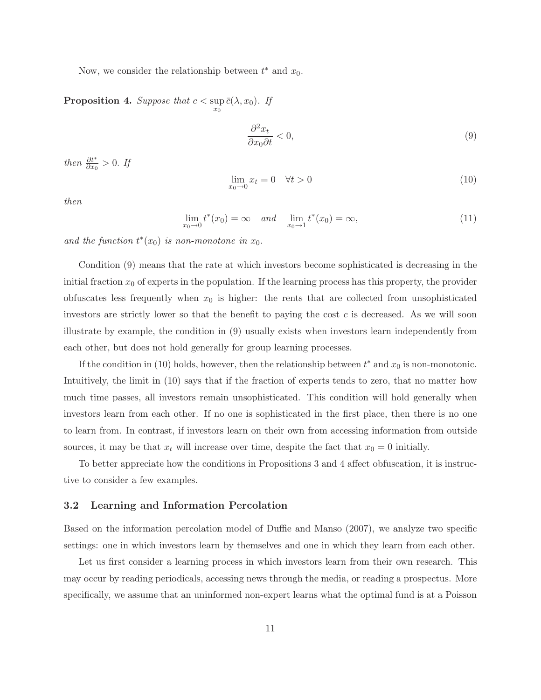Now, we consider the relationship between  $t^*$  and  $x_0$ .

**Proposition 4.** Suppose that  $c < \sup$  $\sup_{x_0} \bar{c}(\lambda,x_0)$ . If

$$
\frac{\partial^2 x_t}{\partial x_0 \partial t} < 0,\tag{9}
$$

then  $\frac{\partial t^*}{\partial x_0} > 0$ . If

$$
\lim_{x_0 \to 0} x_t = 0 \quad \forall t > 0 \tag{10}
$$

then

$$
\lim_{x_0 \to 0} t^*(x_0) = \infty \quad and \quad \lim_{x_0 \to 1} t^*(x_0) = \infty,
$$
\n(11)

and the function  $t^*(x_0)$  is non-monotone in  $x_0$ .

Condition (9) means that the rate at which investors become sophisticated is decreasing in the initial fraction  $x_0$  of experts in the population. If the learning process has this property, the provider obfuscates less frequently when  $x_0$  is higher: the rents that are collected from unsophisticated investors are strictly lower so that the benefit to paying the cost  $c$  is decreased. As we will soon illustrate by example, the condition in (9) usually exists when investors learn independently from each other, but does not hold generally for group learning processes.

If the condition in (10) holds, however, then the relationship between  $t^*$  and  $x_0$  is non-monotonic. Intuitively, the limit in (10) says that if the fraction of experts tends to zero, that no matter how much time passes, all investors remain unsophisticated. This condition will hold generally when investors learn from each other. If no one is sophisticated in the first place, then there is no one to learn from. In contrast, if investors learn on their own from accessing information from outside sources, it may be that  $x_t$  will increase over time, despite the fact that  $x_0 = 0$  initially.

To better appreciate how the conditions in Propositions 3 and 4 affect obfuscation, it is instructive to consider a few examples.

### 3.2 Learning and Information Percolation

Based on the information percolation model of Duffie and Manso (2007), we analyze two specific settings: one in which investors learn by themselves and one in which they learn from each other.

Let us first consider a learning process in which investors learn from their own research. This may occur by reading periodicals, accessing news through the media, or reading a prospectus. More specifically, we assume that an uninformed non-expert learns what the optimal fund is at a Poisson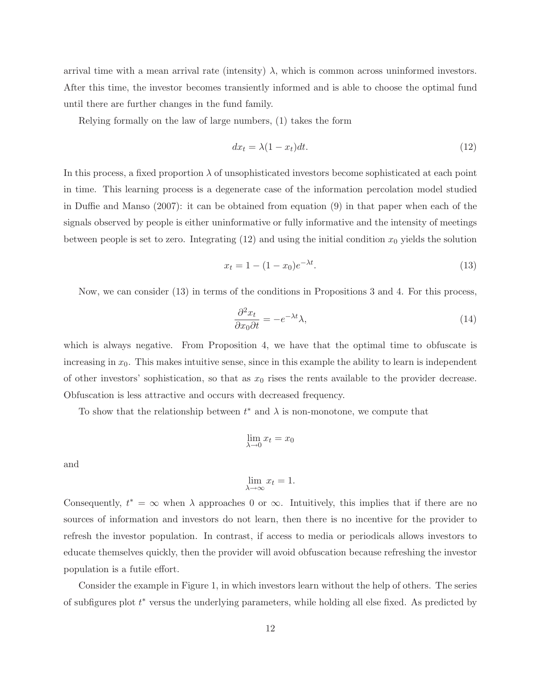arrival time with a mean arrival rate (intensity)  $\lambda$ , which is common across uninformed investors. After this time, the investor becomes transiently informed and is able to choose the optimal fund until there are further changes in the fund family.

Relying formally on the law of large numbers, (1) takes the form

$$
dx_t = \lambda (1 - x_t) dt. \tag{12}
$$

In this process, a fixed proportion  $\lambda$  of unsophisticated investors become sophisticated at each point in time. This learning process is a degenerate case of the information percolation model studied in Duffie and Manso (2007): it can be obtained from equation (9) in that paper when each of the signals observed by people is either uninformative or fully informative and the intensity of meetings between people is set to zero. Integrating  $(12)$  and using the initial condition  $x_0$  yields the solution

$$
x_t = 1 - (1 - x_0)e^{-\lambda t}.
$$
\n(13)

Now, we can consider (13) in terms of the conditions in Propositions 3 and 4. For this process,

$$
\frac{\partial^2 x_t}{\partial x_0 \partial t} = -e^{-\lambda t} \lambda,\tag{14}
$$

which is always negative. From Proposition 4, we have that the optimal time to obfuscate is increasing in  $x_0$ . This makes intuitive sense, since in this example the ability to learn is independent of other investors' sophistication, so that as  $x_0$  rises the rents available to the provider decrease. Obfuscation is less attractive and occurs with decreased frequency.

To show that the relationship between  $t^*$  and  $\lambda$  is non-monotone, we compute that

$$
\lim_{\lambda \to 0} x_t = x_0
$$

and

$$
\lim_{\lambda \to \infty} x_t = 1.
$$

Consequently,  $t^* = \infty$  when  $\lambda$  approaches 0 or  $\infty$ . Intuitively, this implies that if there are no sources of information and investors do not learn, then there is no incentive for the provider to refresh the investor population. In contrast, if access to media or periodicals allows investors to educate themselves quickly, then the provider will avoid obfuscation because refreshing the investor population is a futile effort.

Consider the example in Figure 1, in which investors learn without the help of others. The series of subfigures plot  $t^*$  versus the underlying parameters, while holding all else fixed. As predicted by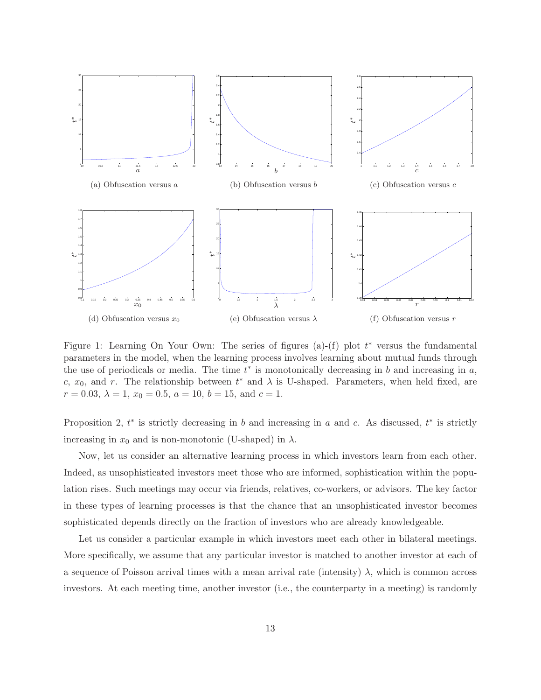

Figure 1: Learning On Your Own: The series of figures (a)-(f) plot  $t^*$  versus the fundamental parameters in the model, when the learning process involves learning about mutual funds through the use of periodicals or media. The time  $t^*$  is monotonically decreasing in b and increasing in a, c,  $x_0$ , and r. The relationship between  $t^*$  and  $\lambda$  is U-shaped. Parameters, when held fixed, are  $r = 0.03, \lambda = 1, x_0 = 0.5, a = 10, b = 15, \text{ and } c = 1.$ 

Proposition 2,  $t^*$  is strictly decreasing in b and increasing in a and c. As discussed,  $t^*$  is strictly increasing in  $x_0$  and is non-monotonic (U-shaped) in  $\lambda$ .

Now, let us consider an alternative learning process in which investors learn from each other. Indeed, as unsophisticated investors meet those who are informed, sophistication within the population rises. Such meetings may occur via friends, relatives, co-workers, or advisors. The key factor in these types of learning processes is that the chance that an unsophisticated investor becomes sophisticated depends directly on the fraction of investors who are already knowledgeable.

Let us consider a particular example in which investors meet each other in bilateral meetings. More specifically, we assume that any particular investor is matched to another investor at each of a sequence of Poisson arrival times with a mean arrival rate (intensity)  $\lambda$ , which is common across investors. At each meeting time, another investor (i.e., the counterparty in a meeting) is randomly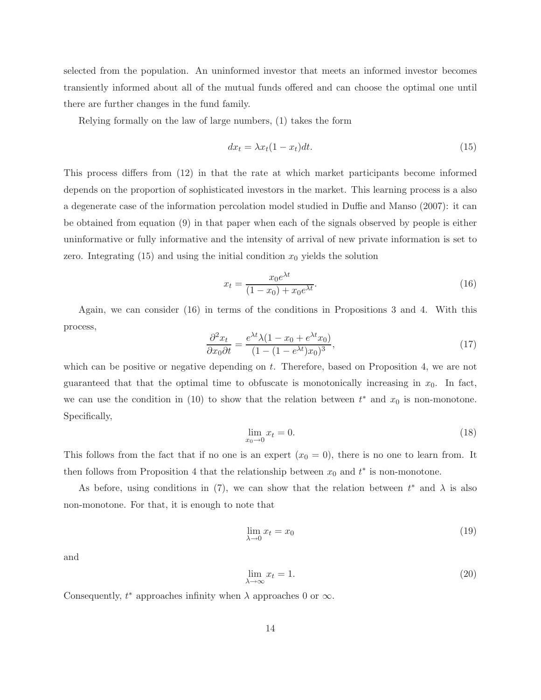selected from the population. An uninformed investor that meets an informed investor becomes transiently informed about all of the mutual funds offered and can choose the optimal one until there are further changes in the fund family.

Relying formally on the law of large numbers, (1) takes the form

$$
dx_t = \lambda x_t (1 - x_t) dt. \tag{15}
$$

This process differs from (12) in that the rate at which market participants become informed depends on the proportion of sophisticated investors in the market. This learning process is a also a degenerate case of the information percolation model studied in Duffie and Manso (2007): it can be obtained from equation (9) in that paper when each of the signals observed by people is either uninformative or fully informative and the intensity of arrival of new private information is set to zero. Integrating  $(15)$  and using the initial condition  $x_0$  yields the solution

$$
x_t = \frac{x_0 e^{\lambda t}}{(1 - x_0) + x_0 e^{\lambda t}}.
$$
\n(16)

Again, we can consider (16) in terms of the conditions in Propositions 3 and 4. With this process,

$$
\frac{\partial^2 x_t}{\partial x_0 \partial t} = \frac{e^{\lambda t} \lambda (1 - x_0 + e^{\lambda t} x_0)}{(1 - (1 - e^{\lambda t}) x_0)^3},\tag{17}
$$

which can be positive or negative depending on  $t$ . Therefore, based on Proposition 4, we are not guaranteed that that the optimal time to obfuscate is monotonically increasing in  $x_0$ . In fact, we can use the condition in (10) to show that the relation between  $t^*$  and  $x_0$  is non-monotone. Specifically,

$$
\lim_{x_0 \to 0} x_t = 0. \tag{18}
$$

This follows from the fact that if no one is an expert  $(x_0 = 0)$ , there is no one to learn from. It then follows from Proposition 4 that the relationship between  $x_0$  and  $t^*$  is non-monotone.

As before, using conditions in (7), we can show that the relation between  $t^*$  and  $\lambda$  is also non-monotone. For that, it is enough to note that

$$
\lim_{\lambda \to 0} x_t = x_0 \tag{19}
$$

and

$$
\lim_{\lambda \to \infty} x_t = 1. \tag{20}
$$

Consequently,  $t^*$  approaches infinity when  $\lambda$  approaches 0 or  $\infty$ .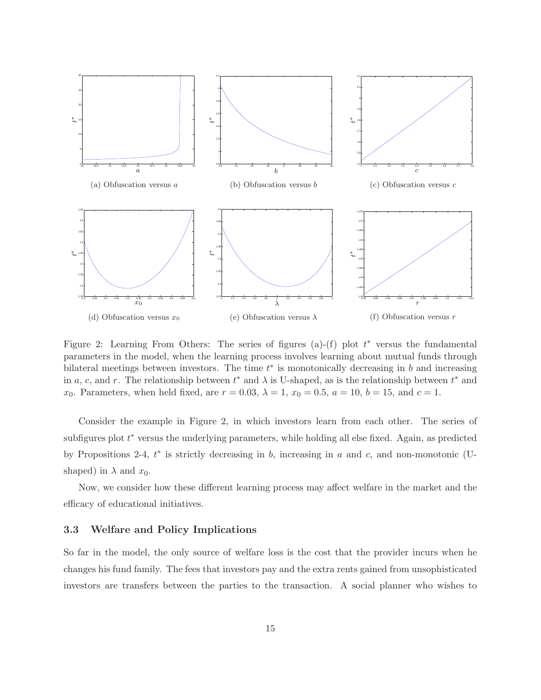

Figure 2: Learning From Others: The series of figures (a)-(f) plot  $t^*$  versus the fundamental parameters in the model, when the learning process involves learning about mutual funds through bilateral meetings between investors. The time  $t^*$  is monotonically decreasing in  $b$  and increasing in a, c, and r. The relationship between  $t^*$  and  $\lambda$  is U-shaped, as is the relationship between  $t^*$  and x<sub>0</sub>. Parameters, when held fixed, are  $r = 0.03$ ,  $\lambda = 1$ ,  $x_0 = 0.5$ ,  $a = 10$ ,  $b = 15$ , and  $c = 1$ .

Consider the example in Figure 2, in which investors learn from each other. The series of subfigures plot  $t^*$  versus the underlying parameters, while holding all else fixed. Again, as predicted by Propositions 2-4,  $t^*$  is strictly decreasing in b, increasing in a and c, and non-monotonic (Ushaped) in  $\lambda$  and  $x_0$ .

Now, we consider how these different learning process may affect welfare in the market and the efficacy of educational initiatives.

### 3.3 Welfare and Policy Implications

So far in the model, the only source of welfare loss is the cost that the provider incurs when he changes his fund family. The fees that investors pay and the extra rents gained from unsophisticated investors are transfers between the parties to the transaction. A social planner who wishes to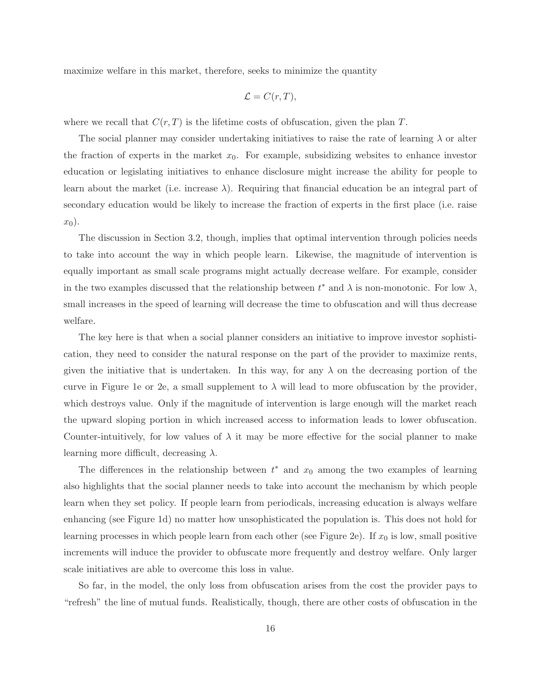maximize welfare in this market, therefore, seeks to minimize the quantity

$$
\mathcal{L} = C(r, T),
$$

where we recall that  $C(r, T)$  is the lifetime costs of obfuscation, given the plan T.

The social planner may consider undertaking initiatives to raise the rate of learning  $\lambda$  or alter the fraction of experts in the market  $x_0$ . For example, subsidizing websites to enhance investor education or legislating initiatives to enhance disclosure might increase the ability for people to learn about the market (i.e. increase  $\lambda$ ). Requiring that financial education be an integral part of secondary education would be likely to increase the fraction of experts in the first place (i.e. raise  $x_0$ ).

The discussion in Section 3.2, though, implies that optimal intervention through policies needs to take into account the way in which people learn. Likewise, the magnitude of intervention is equally important as small scale programs might actually decrease welfare. For example, consider in the two examples discussed that the relationship between  $t^*$  and  $\lambda$  is non-monotonic. For low  $\lambda$ , small increases in the speed of learning will decrease the time to obfuscation and will thus decrease welfare.

The key here is that when a social planner considers an initiative to improve investor sophistication, they need to consider the natural response on the part of the provider to maximize rents, given the initiative that is undertaken. In this way, for any  $\lambda$  on the decreasing portion of the curve in Figure 1e or 2e, a small supplement to  $\lambda$  will lead to more obfuscation by the provider, which destroys value. Only if the magnitude of intervention is large enough will the market reach the upward sloping portion in which increased access to information leads to lower obfuscation. Counter-intuitively, for low values of  $\lambda$  it may be more effective for the social planner to make learning more difficult, decreasing  $\lambda$ .

The differences in the relationship between  $t^*$  and  $x_0$  among the two examples of learning also highlights that the social planner needs to take into account the mechanism by which people learn when they set policy. If people learn from periodicals, increasing education is always welfare enhancing (see Figure 1d) no matter how unsophisticated the population is. This does not hold for learning processes in which people learn from each other (see Figure 2e). If  $x_0$  is low, small positive increments will induce the provider to obfuscate more frequently and destroy welfare. Only larger scale initiatives are able to overcome this loss in value.

So far, in the model, the only loss from obfuscation arises from the cost the provider pays to "refresh" the line of mutual funds. Realistically, though, there are other costs of obfuscation in the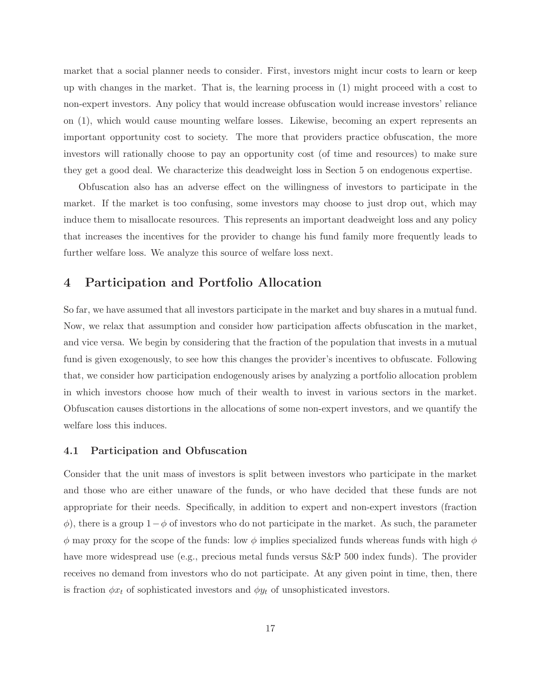market that a social planner needs to consider. First, investors might incur costs to learn or keep up with changes in the market. That is, the learning process in (1) might proceed with a cost to non-expert investors. Any policy that would increase obfuscation would increase investors' reliance on (1), which would cause mounting welfare losses. Likewise, becoming an expert represents an important opportunity cost to society. The more that providers practice obfuscation, the more investors will rationally choose to pay an opportunity cost (of time and resources) to make sure they get a good deal. We characterize this deadweight loss in Section 5 on endogenous expertise.

Obfuscation also has an adverse effect on the willingness of investors to participate in the market. If the market is too confusing, some investors may choose to just drop out, which may induce them to misallocate resources. This represents an important deadweight loss and any policy that increases the incentives for the provider to change his fund family more frequently leads to further welfare loss. We analyze this source of welfare loss next.

### 4 Participation and Portfolio Allocation

So far, we have assumed that all investors participate in the market and buy shares in a mutual fund. Now, we relax that assumption and consider how participation affects obfuscation in the market, and vice versa. We begin by considering that the fraction of the population that invests in a mutual fund is given exogenously, to see how this changes the provider's incentives to obfuscate. Following that, we consider how participation endogenously arises by analyzing a portfolio allocation problem in which investors choose how much of their wealth to invest in various sectors in the market. Obfuscation causes distortions in the allocations of some non-expert investors, and we quantify the welfare loss this induces.

### 4.1 Participation and Obfuscation

Consider that the unit mass of investors is split between investors who participate in the market and those who are either unaware of the funds, or who have decided that these funds are not appropriate for their needs. Specifically, in addition to expert and non-expert investors (fraction  $\phi$ ), there is a group  $1-\phi$  of investors who do not participate in the market. As such, the parameter  $\phi$  may proxy for the scope of the funds: low  $\phi$  implies specialized funds whereas funds with high  $\phi$ have more widespread use (e.g., precious metal funds versus  $S\&P$  500 index funds). The provider receives no demand from investors who do not participate. At any given point in time, then, there is fraction  $\phi x_t$  of sophisticated investors and  $\phi y_t$  of unsophisticated investors.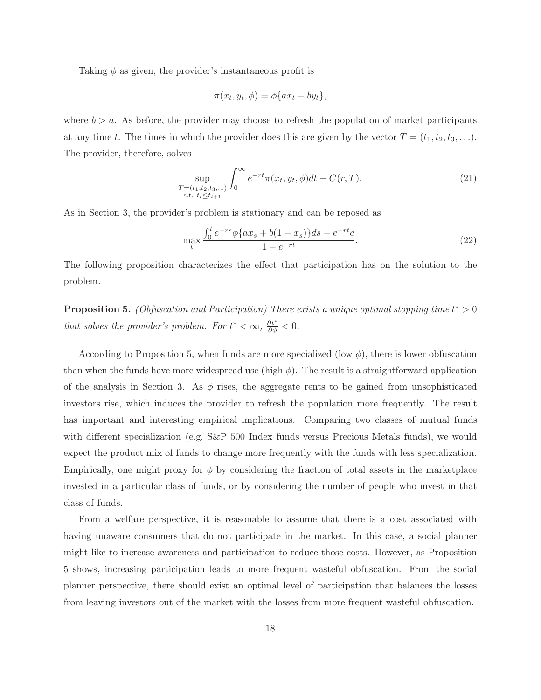Taking  $\phi$  as given, the provider's instantaneous profit is

$$
\pi(x_t, y_t, \phi) = \phi\{ax_t + by_t\},\
$$

where  $b > a$ . As before, the provider may choose to refresh the population of market participants at any time t. The times in which the provider does this are given by the vector  $T = (t_1, t_2, t_3, \ldots)$ . The provider, therefore, solves

$$
\sup_{\substack{T=(t_1,t_2,t_3,\dots)\\ \text{s.t. } t_i \le t_{i+1}}} \int_0^\infty e^{-rt} \pi(x_t, y_t, \phi) dt - C(r,T). \tag{21}
$$

As in Section 3, the provider's problem is stationary and can be reposed as

$$
\max_{t} \frac{\int_{0}^{t} e^{-rs} \phi \{ax_s + b(1 - x_s)\} ds - e^{-rt}c}{1 - e^{-rt}}.
$$
\n(22)

The following proposition characterizes the effect that participation has on the solution to the problem.

**Proposition 5.** (Obfuscation and Participation) There exists a unique optimal stopping time  $t^* > 0$ that solves the provider's problem. For  $t^* < \infty$ ,  $\frac{\partial t^*}{\partial \phi} < 0$ .

According to Proposition 5, when funds are more specialized (low  $\phi$ ), there is lower obfuscation than when the funds have more widespread use (high  $\phi$ ). The result is a straightforward application of the analysis in Section 3. As  $\phi$  rises, the aggregate rents to be gained from unsophisticated investors rise, which induces the provider to refresh the population more frequently. The result has important and interesting empirical implications. Comparing two classes of mutual funds with different specialization (e.g. S&P 500 Index funds versus Precious Metals funds), we would expect the product mix of funds to change more frequently with the funds with less specialization. Empirically, one might proxy for  $\phi$  by considering the fraction of total assets in the marketplace invested in a particular class of funds, or by considering the number of people who invest in that class of funds.

From a welfare perspective, it is reasonable to assume that there is a cost associated with having unaware consumers that do not participate in the market. In this case, a social planner might like to increase awareness and participation to reduce those costs. However, as Proposition 5 shows, increasing participation leads to more frequent wasteful obfuscation. From the social planner perspective, there should exist an optimal level of participation that balances the losses from leaving investors out of the market with the losses from more frequent wasteful obfuscation.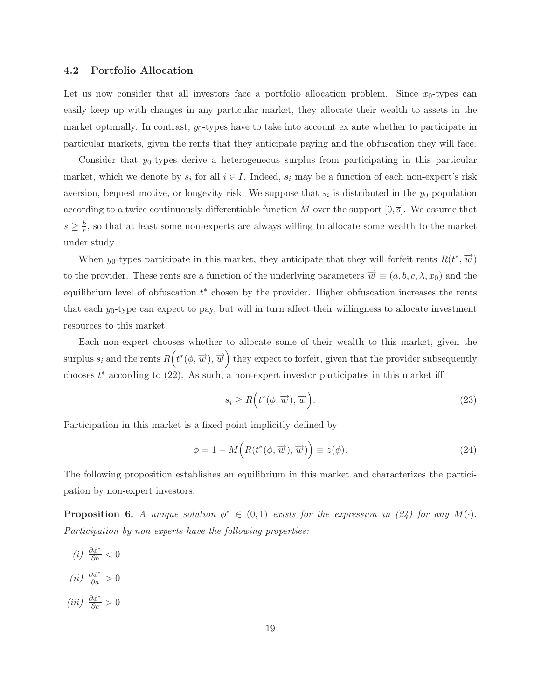#### 4.2 Portfolio Allocation

Let us now consider that all investors face a portfolio allocation problem. Since  $x_0$ -types can easily keep up with changes in any particular market, they allocate their wealth to assets in the market optimally. In contrast,  $y_0$ -types have to take into account ex ante whether to participate in particular markets, given the rents that they anticipate paying and the obfuscation they will face.

Consider that  $y_0$ -types derive a heterogeneous surplus from participating in this particular market, which we denote by  $s_i$  for all  $i \in I$ . Indeed,  $s_i$  may be a function of each non-expert's risk aversion, bequest motive, or longevity risk. We suppose that  $s_i$  is distributed in the  $y_0$  population according to a twice continuously differentiable function M over the support  $[0, \overline{s}]$ . We assume that  $\overline{s} \geq \frac{b}{r}$  $\frac{b}{r}$ , so that at least some non-experts are always willing to allocate some wealth to the market under study.

When y<sub>0</sub>-types participate in this market, they anticipate that they will forfeit rents  $R(t^*, \overrightarrow{w})$ to the provider. These rents are a function of the underlying parameters  $\vec{w} \equiv (a, b, c, \lambda, x_0)$  and the equilibrium level of obfuscation  $t^*$  chosen by the provider. Higher obfuscation increases the rents that each  $y_0$ -type can expect to pay, but will in turn affect their willingness to allocate investment resources to this market.

Each non-expert chooses whether to allocate some of their wealth to this market, given the surplus  $s_i$  and the rents  $R(t^*(\phi, \overrightarrow{w}), \overrightarrow{w})$  they expect to forfeit, given that the provider subsequently chooses  $t^*$  according to  $(22)$ . As such, a non-expert investor participates in this market iff

$$
s_i \ge R\Big(t^*(\phi, \overrightarrow{w}), \overrightarrow{w}\Big). \tag{23}
$$

Participation in this market is a fixed point implicitly defined by

$$
\phi = 1 - M\left(R(t^*(\phi, \overrightarrow{w}), \overrightarrow{w})\right) \equiv z(\phi). \tag{24}
$$

The following proposition establishes an equilibrium in this market and characterizes the participation by non-expert investors.

**Proposition 6.** A unique solution  $\phi^* \in (0,1)$  exists for the expression in (24) for any  $M(\cdot)$ . Participation by non-experts have the following properties:

(*i*)  $\frac{\partial \phi^*}{\partial b} < 0$ (*ii*)  $\frac{\partial \phi^*}{\partial a} > 0$ (iii)  $\frac{\partial \phi^*}{\partial c} > 0$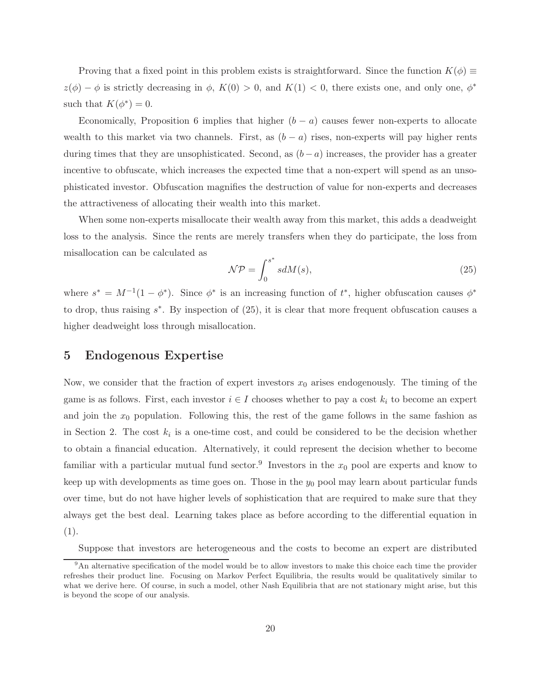Proving that a fixed point in this problem exists is straightforward. Since the function  $K(\phi) \equiv$  $z(\phi) - \phi$  is strictly decreasing in  $\phi$ ,  $K(0) > 0$ , and  $K(1) < 0$ , there exists one, and only one,  $\phi^*$ such that  $K(\phi^*)=0$ .

Economically, Proposition 6 implies that higher  $(b - a)$  causes fewer non-experts to allocate wealth to this market via two channels. First, as  $(b - a)$  rises, non-experts will pay higher rents during times that they are unsophisticated. Second, as  $(b-a)$  increases, the provider has a greater incentive to obfuscate, which increases the expected time that a non-expert will spend as an unsophisticated investor. Obfuscation magnifies the destruction of value for non-experts and decreases the attractiveness of allocating their wealth into this market.

When some non-experts misallocate their wealth away from this market, this adds a deadweight loss to the analysis. Since the rents are merely transfers when they do participate, the loss from misallocation can be calculated as ∗

$$
\mathcal{NP} = \int_0^{s^*} s dM(s),\tag{25}
$$

where  $s^* = M^{-1}(1 - \phi^*)$ . Since  $\phi^*$  is an increasing function of  $t^*$ , higher obfuscation causes  $\phi^*$ to drop, thus raising  $s^*$ . By inspection of  $(25)$ , it is clear that more frequent obfuscation causes a higher deadweight loss through misallocation.

### 5 Endogenous Expertise

Now, we consider that the fraction of expert investors  $x_0$  arises endogenously. The timing of the game is as follows. First, each investor  $i \in I$  chooses whether to pay a cost  $k_i$  to become an expert and join the  $x_0$  population. Following this, the rest of the game follows in the same fashion as in Section 2. The cost  $k_i$  is a one-time cost, and could be considered to be the decision whether to obtain a financial education. Alternatively, it could represent the decision whether to become familiar with a particular mutual fund sector.<sup>9</sup> Investors in the  $x_0$  pool are experts and know to keep up with developments as time goes on. Those in the  $y_0$  pool may learn about particular funds over time, but do not have higher levels of sophistication that are required to make sure that they always get the best deal. Learning takes place as before according to the differential equation in  $(1).$ 

Suppose that investors are heterogeneous and the costs to become an expert are distributed

<sup>&</sup>lt;sup>9</sup>An alternative specification of the model would be to allow investors to make this choice each time the provider refreshes their product line. Focusing on Markov Perfect Equilibria, the results would be qualitatively similar to what we derive here. Of course, in such a model, other Nash Equilibria that are not stationary might arise, but this is beyond the scope of our analysis.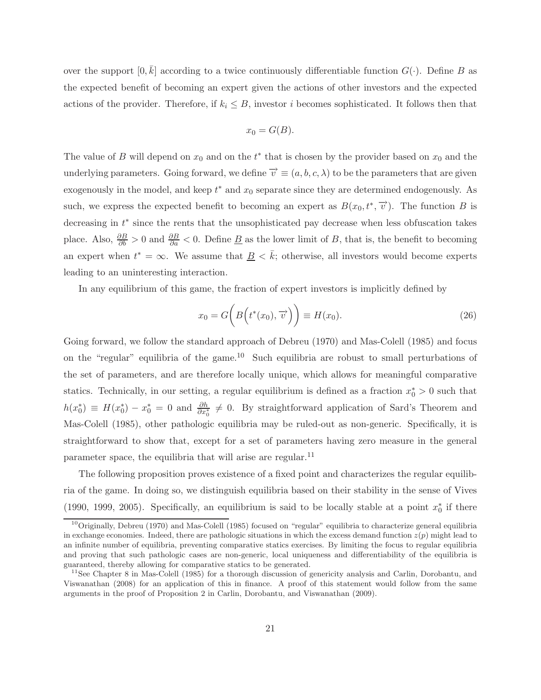over the support  $[0,\bar{k}]$  according to a twice continuously differentiable function  $G(\cdot)$ . Define B as the expected benefit of becoming an expert given the actions of other investors and the expected actions of the provider. Therefore, if  $k_i \leq B$ , investor i becomes sophisticated. It follows then that

$$
x_0 = G(B).
$$

The value of B will depend on  $x_0$  and on the  $t^*$  that is chosen by the provider based on  $x_0$  and the underlying parameters. Going forward, we define  $\vec{v} \equiv (a, b, c, \lambda)$  to be the parameters that are given exogenously in the model, and keep  $t^*$  and  $x_0$  separate since they are determined endogenously. As such, we express the expected benefit to becoming an expert as  $B(x_0, t^*, \overrightarrow{v})$ . The function B is decreasing in  $t^*$  since the rents that the unsophisticated pay decrease when less obfuscation takes place. Also,  $\frac{\partial B}{\partial b} > 0$  and  $\frac{\partial B}{\partial a} < 0$ . Define <u>B</u> as the lower limit of B, that is, the benefit to becoming an expert when  $t^* = \infty$ . We assume that  $\underline{B} < \overline{k}$ ; otherwise, all investors would become experts leading to an uninteresting interaction.

In any equilibrium of this game, the fraction of expert investors is implicitly defined by

$$
x_0 = G\bigg(B\Big(t^*(x_0), \overrightarrow{v}\Big)\bigg) \equiv H(x_0). \tag{26}
$$

Going forward, we follow the standard approach of Debreu (1970) and Mas-Colell (1985) and focus on the "regular" equilibria of the game.<sup>10</sup> Such equilibria are robust to small perturbations of the set of parameters, and are therefore locally unique, which allows for meaningful comparative statics. Technically, in our setting, a regular equilibrium is defined as a fraction  $x_0^* > 0$  such that  $h(x_0^*) \equiv H(x_0^*) - x_0^* = 0$  and  $\frac{\partial h}{\partial x_0^*} \neq 0$ . By straightforward application of Sard's Theorem and Mas-Colell (1985), other pathologic equilibria may be ruled-out as non-generic. Specifically, it is straightforward to show that, except for a set of parameters having zero measure in the general parameter space, the equilibria that will arise are regular.<sup>11</sup>

The following proposition proves existence of a fixed point and characterizes the regular equilibria of the game. In doing so, we distinguish equilibria based on their stability in the sense of Vives (1990, 1999, 2005). Specifically, an equilibrium is said to be locally stable at a point  $x_0^*$  if there

 $10$ Originally, Debreu (1970) and Mas-Colell (1985) focused on "regular" equilibria to characterize general equilibria in exchange economies. Indeed, there are pathologic situations in which the excess demand function  $z(p)$  might lead to an infinite number of equilibria, preventing comparative statics exercises. By limiting the focus to regular equilibria and proving that such pathologic cases are non-generic, local uniqueness and differentiability of the equilibria is guaranteed, thereby allowing for comparative statics to be generated.

<sup>&</sup>lt;sup>11</sup>See Chapter 8 in Mas-Colell (1985) for a thorough discussion of genericity analysis and Carlin, Dorobantu, and Viswanathan (2008) for an application of this in finance. A proof of this statement would follow from the same arguments in the proof of Proposition 2 in Carlin, Dorobantu, and Viswanathan (2009).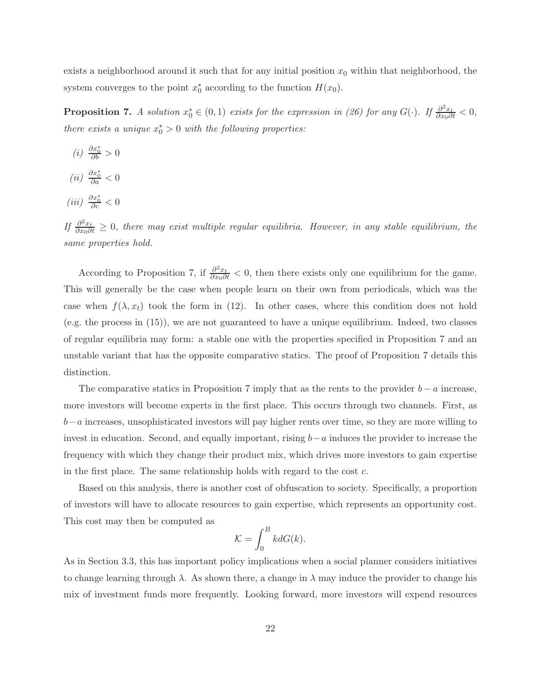exists a neighborhood around it such that for any initial position  $x_0$  within that neighborhood, the system converges to the point  $x_0^*$  according to the function  $H(x_0)$ .

**Proposition 7.** A solution  $x_0^* \in (0,1)$  exists for the expression in (26) for any  $G(\cdot)$ . If  $\frac{\partial^2 x_t}{\partial x_0 \partial t} < 0$ , there exists a unique  $x_0^* > 0$  with the following properties:

- (*i*)  $\frac{\partial x_0^*}{\partial b} > 0$
- (ii)  $\frac{\partial x_0^*}{\partial a} < 0$
- (iii)  $\frac{\partial x_0^*}{\partial c} < 0$

*If*  $\frac{\partial^2 x_t}{\partial x_0 \partial t}$  ≥ 0, there may exist multiple regular equilibria. However, in any stable equilibrium, the same properties hold.

According to Proposition 7, if  $\frac{\partial^2 x_t}{\partial x_0 \partial t}$  < 0, then there exists only one equilibrium for the game. This will generally be the case when people learn on their own from periodicals, which was the case when  $f(\lambda, x_t)$  took the form in (12). In other cases, where this condition does not hold (e.g. the process in (15)), we are not guaranteed to have a unique equilibrium. Indeed, two classes of regular equilibria may form: a stable one with the properties specified in Proposition 7 and an unstable variant that has the opposite comparative statics. The proof of Proposition 7 details this distinction.

The comparative statics in Proposition 7 imply that as the rents to the provider  $b - a$  increase, more investors will become experts in the first place. This occurs through two channels. First, as  $b-a$  increases, unsophisticated investors will pay higher rents over time, so they are more willing to invest in education. Second, and equally important, rising b−a induces the provider to increase the frequency with which they change their product mix, which drives more investors to gain expertise in the first place. The same relationship holds with regard to the cost c.

Based on this analysis, there is another cost of obfuscation to society. Specifically, a proportion of investors will have to allocate resources to gain expertise, which represents an opportunity cost. This cost may then be computed as

$$
\mathcal{K} = \int_0^B k dG(k).
$$

As in Section 3.3, this has important policy implications when a social planner considers initiatives to change learning through  $\lambda$ . As shown there, a change in  $\lambda$  may induce the provider to change his mix of investment funds more frequently. Looking forward, more investors will expend resources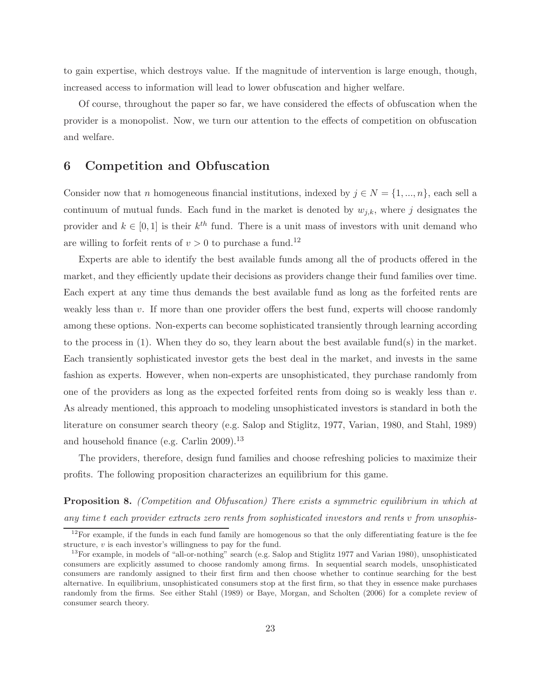to gain expertise, which destroys value. If the magnitude of intervention is large enough, though, increased access to information will lead to lower obfuscation and higher welfare.

Of course, throughout the paper so far, we have considered the effects of obfuscation when the provider is a monopolist. Now, we turn our attention to the effects of competition on obfuscation and welfare.

### 6 Competition and Obfuscation

Consider now that n homogeneous financial institutions, indexed by  $j \in N = \{1, ..., n\}$ , each sell a continuum of mutual funds. Each fund in the market is denoted by  $w_{j,k}$ , where j designates the provider and  $k \in [0, 1]$  is their  $k^{th}$  fund. There is a unit mass of investors with unit demand who are willing to forfeit rents of  $v > 0$  to purchase a fund.<sup>12</sup>

Experts are able to identify the best available funds among all the of products offered in the market, and they efficiently update their decisions as providers change their fund families over time. Each expert at any time thus demands the best available fund as long as the forfeited rents are weakly less than  $v$ . If more than one provider offers the best fund, experts will choose randomly among these options. Non-experts can become sophisticated transiently through learning according to the process in (1). When they do so, they learn about the best available fund(s) in the market. Each transiently sophisticated investor gets the best deal in the market, and invests in the same fashion as experts. However, when non-experts are unsophisticated, they purchase randomly from one of the providers as long as the expected forfeited rents from doing so is weakly less than  $v$ . As already mentioned, this approach to modeling unsophisticated investors is standard in both the literature on consumer search theory (e.g. Salop and Stiglitz, 1977, Varian, 1980, and Stahl, 1989) and household finance (e.g. Carlin 2009).<sup>13</sup>

The providers, therefore, design fund families and choose refreshing policies to maximize their profits. The following proposition characterizes an equilibrium for this game.

**Proposition 8.** (Competition and Obfuscation) There exists a symmetric equilibrium in which at any time t each provider extracts zero rents from sophisticated investors and rents v from unsophis-

 $12$ For example, if the funds in each fund family are homogenous so that the only differentiating feature is the fee structure,  $v$  is each investor's willingness to pay for the fund.

<sup>&</sup>lt;sup>13</sup>For example, in models of "all-or-nothing" search (e.g. Salop and Stiglitz 1977 and Varian 1980), unsophisticated consumers are explicitly assumed to choose randomly among firms. In sequential search models, unsophisticated consumers are randomly assigned to their first firm and then choose whether to continue searching for the best alternative. In equilibrium, unsophisticated consumers stop at the first firm, so that they in essence make purchases randomly from the firms. See either Stahl (1989) or Baye, Morgan, and Scholten (2006) for a complete review of consumer search theory.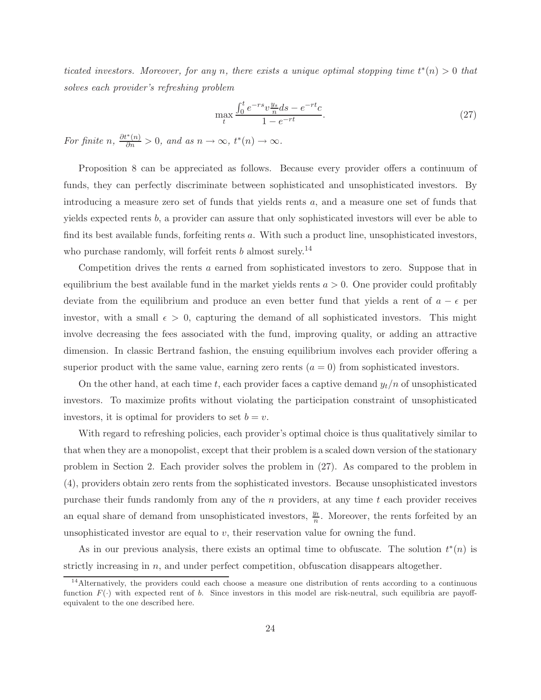ticated investors. Moreover, for any n, there exists a unique optimal stopping time  $t^*(n) > 0$  that solves each provider's refreshing problem

$$
\max_{t} \frac{\int_{0}^{t} e^{-rs} v \frac{y_s}{n} ds - e^{-rt} c}{1 - e^{-rt}}.
$$
\n(27)

For finite n,  $\frac{\partial t^*(n)}{\partial n} > 0$ , and as  $n \to \infty$ ,  $t^*(n) \to \infty$ .

Proposition 8 can be appreciated as follows. Because every provider offers a continuum of funds, they can perfectly discriminate between sophisticated and unsophisticated investors. By introducing a measure zero set of funds that yields rents a, and a measure one set of funds that yields expected rents  $b$ , a provider can assure that only sophisticated investors will ever be able to find its best available funds, forfeiting rents a. With such a product line, unsophisticated investors, who purchase randomly, will forfeit rents b almost surely.<sup>14</sup>

Competition drives the rents  $\alpha$  earned from sophisticated investors to zero. Suppose that in equilibrium the best available fund in the market yields rents  $a > 0$ . One provider could profitably deviate from the equilibrium and produce an even better fund that yields a rent of  $a - \epsilon$  per investor, with a small  $\epsilon > 0$ , capturing the demand of all sophisticated investors. This might involve decreasing the fees associated with the fund, improving quality, or adding an attractive dimension. In classic Bertrand fashion, the ensuing equilibrium involves each provider offering a superior product with the same value, earning zero rents  $(a = 0)$  from sophisticated investors.

On the other hand, at each time t, each provider faces a captive demand  $y_t/n$  of unsophisticated investors. To maximize profits without violating the participation constraint of unsophisticated investors, it is optimal for providers to set  $b = v$ .

With regard to refreshing policies, each provider's optimal choice is thus qualitatively similar to that when they are a monopolist, except that their problem is a scaled down version of the stationary problem in Section 2. Each provider solves the problem in (27). As compared to the problem in (4), providers obtain zero rents from the sophisticated investors. Because unsophisticated investors purchase their funds randomly from any of the  $n$  providers, at any time  $t$  each provider receives an equal share of demand from unsophisticated investors,  $\frac{y_t}{n}$ . Moreover, the rents forfeited by an unsophisticated investor are equal to  $v$ , their reservation value for owning the fund.

As in our previous analysis, there exists an optimal time to obfuscate. The solution  $t^*(n)$  is strictly increasing in  $n$ , and under perfect competition, obfuscation disappears altogether.

 $14$ Alternatively, the providers could each choose a measure one distribution of rents according to a continuous function  $F(\cdot)$  with expected rent of b. Since investors in this model are risk-neutral, such equilibria are payoffequivalent to the one described here.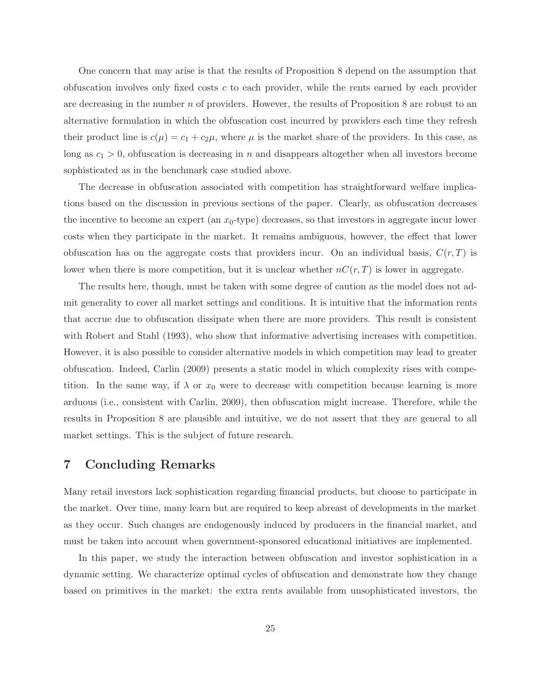One concern that may arise is that the results of Proposition 8 depend on the assumption that obfuscation involves only fixed costs  $c$  to each provider, while the rents earned by each provider are decreasing in the number n of providers. However, the results of Proposition 8 are robust to an alternative formulation in which the obfuscation cost incurred by providers each time they refresh their product line is  $c(\mu) = c_1 + c_2\mu$ , where  $\mu$  is the market share of the providers. In this case, as long as  $c_1 > 0$ , obfuscation is decreasing in n and disappears altogether when all investors become sophisticated as in the benchmark case studied above.

The decrease in obfuscation associated with competition has straightforward welfare implications based on the discussion in previous sections of the paper. Clearly, as obfuscation decreases the incentive to become an expert (an  $x_0$ -type) decreases, so that investors in aggregate incur lower costs when they participate in the market. It remains ambiguous, however, the effect that lower obfuscation has on the aggregate costs that providers incur. On an individual basis,  $C(r, T)$  is lower when there is more competition, but it is unclear whether  $nC(r,T)$  is lower in aggregate.

The results here, though, must be taken with some degree of caution as the model does not admit generality to cover all market settings and conditions. It is intuitive that the information rents that accrue due to obfuscation dissipate when there are more providers. This result is consistent with Robert and Stahl (1993), who show that informative advertising increases with competition. However, it is also possible to consider alternative models in which competition may lead to greater obfuscation. Indeed, Carlin (2009) presents a static model in which complexity rises with competition. In the same way, if  $\lambda$  or  $x_0$  were to decrease with competition because learning is more arduous (i.e., consistent with Carlin, 2009), then obfuscation might increase. Therefore, while the results in Proposition 8 are plausible and intuitive, we do not assert that they are general to all market settings. This is the subject of future research.

### 7 Concluding Remarks

Many retail investors lack sophistication regarding financial products, but choose to participate in the market. Over time, many learn but are required to keep abreast of developments in the market as they occur. Such changes are endogenously induced by producers in the financial market, and must be taken into account when government-sponsored educational initiatives are implemented.

In this paper, we study the interaction between obfuscation and investor sophistication in a dynamic setting. We characterize optimal cycles of obfuscation and demonstrate how they change based on primitives in the market: the extra rents available from unsophisticated investors, the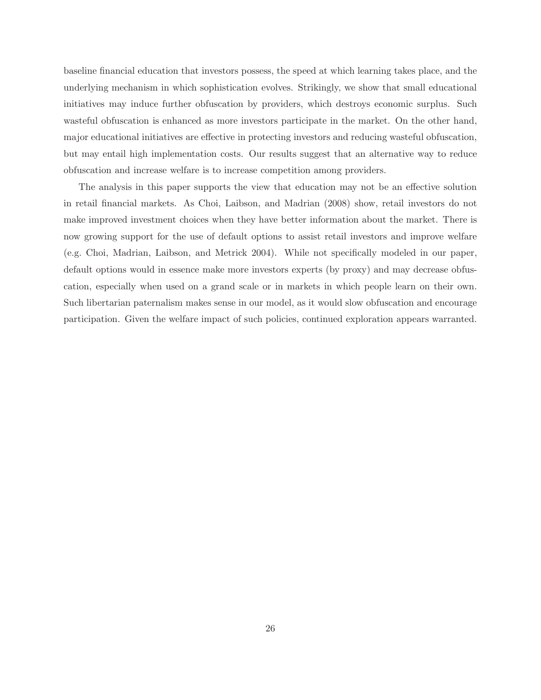baseline financial education that investors possess, the speed at which learning takes place, and the underlying mechanism in which sophistication evolves. Strikingly, we show that small educational initiatives may induce further obfuscation by providers, which destroys economic surplus. Such wasteful obfuscation is enhanced as more investors participate in the market. On the other hand, major educational initiatives are effective in protecting investors and reducing wasteful obfuscation, but may entail high implementation costs. Our results suggest that an alternative way to reduce obfuscation and increase welfare is to increase competition among providers.

The analysis in this paper supports the view that education may not be an effective solution in retail financial markets. As Choi, Laibson, and Madrian (2008) show, retail investors do not make improved investment choices when they have better information about the market. There is now growing support for the use of default options to assist retail investors and improve welfare (e.g. Choi, Madrian, Laibson, and Metrick 2004). While not specifically modeled in our paper, default options would in essence make more investors experts (by proxy) and may decrease obfuscation, especially when used on a grand scale or in markets in which people learn on their own. Such libertarian paternalism makes sense in our model, as it would slow obfuscation and encourage participation. Given the welfare impact of such policies, continued exploration appears warranted.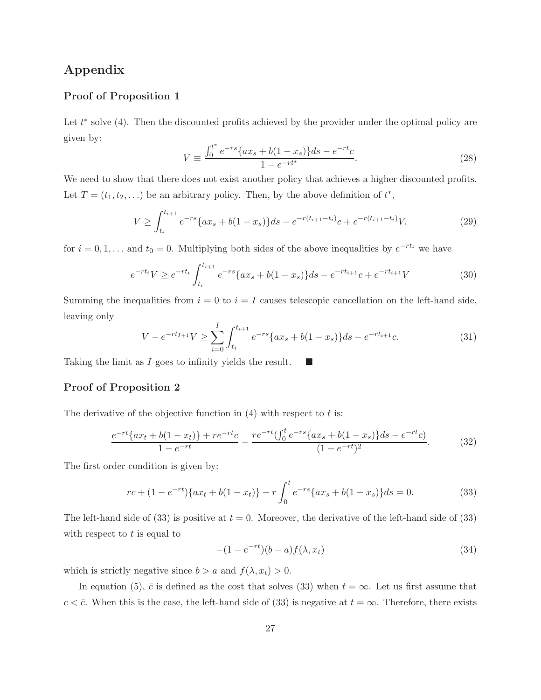## Appendix

### Proof of Proposition 1

Let  $t^*$  solve (4). Then the discounted profits achieved by the provider under the optimal policy are given by:

$$
V \equiv \frac{\int_0^{t^*} e^{-rs} \{ax_s + b(1 - x_s)\} ds - e^{-rt}c}{1 - e^{-rt^*}}.
$$
\n(28)

We need to show that there does not exist another policy that achieves a higher discounted profits. Let  $T = (t_1, t_2, \ldots)$  be an arbitrary policy. Then, by the above definition of  $t^*$ ,

$$
V \ge \int_{t_i}^{t_{i+1}} e^{-rs} \{ax_s + b(1-x_s)\} ds - e^{-r(t_{i+1}-t_i)}c + e^{-r(t_{i+1}-t_i)}V,\tag{29}
$$

for  $i = 0, 1, \ldots$  and  $t_0 = 0$ . Multiplying both sides of the above inequalities by  $e^{-rt_i}$  we have

$$
e^{-rt_i}V \ge e^{-rt_i} \int_{t_i}^{t_{i+1}} e^{-rs} \{ax_s + b(1-x_s)\} ds - e^{-rt_{i+1}}c + e^{-rt_{i+1}}V
$$
\n(30)

Summing the inequalities from  $i = 0$  to  $i = I$  causes telescopic cancellation on the left-hand side, leaving only

$$
V - e^{-rt_{I+1}}V \ge \sum_{i=0}^{I} \int_{t_i}^{t_{i+1}} e^{-rs} \{ax_s + b(1-x_s)\} ds - e^{-rt_{i+1}}c.
$$
 (31)

Taking the limit as I goes to infinity yields the result.  $\Box$ 

### Proof of Proposition 2

The derivative of the objective function in  $(4)$  with respect to t is:

$$
\frac{e^{-rt}\{ax_t + b(1-x_t)\} + re^{-rt}c}{1 - e^{-rt}} - \frac{re^{-rt}(\int_0^t e^{-rs}\{ax_s + b(1-x_s)\}ds - e^{-rt}c)}{(1 - e^{-rt})^2}.
$$
(32)

The first order condition is given by:

$$
rc + (1 - e^{-rt})\{ax_t + b(1 - x_t)\} - r\int_0^t e^{-rs}\{ax_s + b(1 - x_s)\}ds = 0.
$$
 (33)

The left-hand side of (33) is positive at  $t = 0$ . Moreover, the derivative of the left-hand side of (33) with respect to  $t$  is equal to

$$
-(1 - e^{-rt})(b - a)f(\lambda, x_t) \tag{34}
$$

which is strictly negative since  $b > a$  and  $f(\lambda, x_t) > 0$ .

In equation (5),  $\bar{c}$  is defined as the cost that solves (33) when  $t = \infty$ . Let us first assume that  $c < \bar{c}$ . When this is the case, the left-hand side of (33) is negative at  $t = \infty$ . Therefore, there exists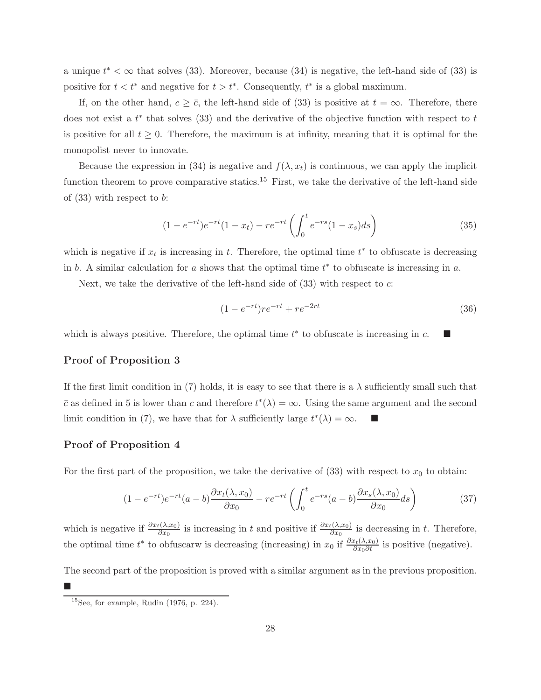a unique  $t^* < \infty$  that solves (33). Moreover, because (34) is negative, the left-hand side of (33) is positive for  $t < t^*$  and negative for  $t > t^*$ . Consequently,  $t^*$  is a global maximum.

If, on the other hand,  $c \geq \bar{c}$ , the left-hand side of (33) is positive at  $t = \infty$ . Therefore, there does not exist a  $t^*$  that solves (33) and the derivative of the objective function with respect to  $t$ is positive for all  $t \geq 0$ . Therefore, the maximum is at infinity, meaning that it is optimal for the monopolist never to innovate.

Because the expression in (34) is negative and  $f(\lambda, x_t)$  is continuous, we can apply the implicit function theorem to prove comparative statics.<sup>15</sup> First, we take the derivative of the left-hand side of  $(33)$  with respect to b:

$$
(1 - e^{-rt})e^{-rt}(1 - x_t) - re^{-rt}\left(\int_0^t e^{-rs}(1 - x_s)ds\right)
$$
\n(35)

which is negative if  $x_t$  is increasing in t. Therefore, the optimal time  $t^*$  to obfuscate is decreasing in b. A similar calculation for a shows that the optimal time  $t^*$  to obfuscate is increasing in a.

Next, we take the derivative of the left-hand side of (33) with respect to c:

$$
(1 - e^{-rt})re^{-rt} + re^{-2rt} \tag{36}
$$

which is always positive. Therefore, the optimal time  $t^*$  to obfuscate is increasing in  $c$ .

### Proof of Proposition 3

If the first limit condition in (7) holds, it is easy to see that there is a  $\lambda$  sufficiently small such that  $\bar{c}$  as defined in 5 is lower than c and therefore  $t^*(\lambda) = \infty$ . Using the same argument and the second limit condition in (7), we have that for  $\lambda$  sufficiently large  $t^*(\lambda) = \infty$ .

### Proof of Proposition 4

Ī.

For the first part of the proposition, we take the derivative of  $(33)$  with respect to  $x_0$  to obtain:

$$
(1 - e^{-rt})e^{-rt}(a - b)\frac{\partial x_t(\lambda, x_0)}{\partial x_0} - re^{-rt}\left(\int_0^t e^{-rs}(a - b)\frac{\partial x_s(\lambda, x_0)}{\partial x_0}ds\right) \tag{37}
$$

which is negative if  $\frac{\partial x_t(\lambda, x_0)}{\partial x_0}$  is increasing in t and positive if  $\frac{\partial x_t(\lambda, x_0)}{\partial x_0}$  is decreasing in t. Therefore, the optimal time  $t^*$  to obfuscarw is decreasing (increasing) in  $x_0$  if  $\frac{\partial x_t(\lambda,x_0)}{\partial x_0 \partial t}$  is positive (negative).

The second part of the proposition is proved with a similar argument as in the previous proposition.

 $^{15}$ See, for example, Rudin (1976, p. 224).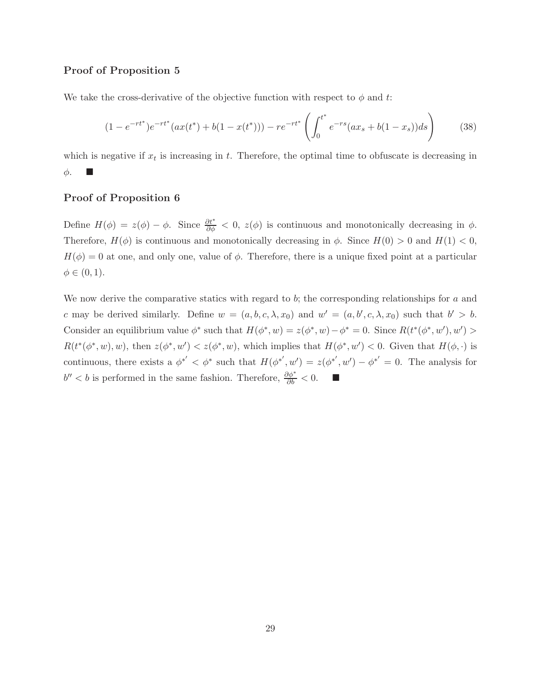### Proof of Proposition 5

We take the cross-derivative of the objective function with respect to  $\phi$  and t:

$$
(1 - e^{-rt^*})e^{-rt^*}(ax(t^*) + b(1 - x(t^*))) - re^{-rt^*}\left(\int_0^{t^*} e^{-rs}(ax_s + b(1 - x_s))ds\right) \tag{38}
$$

which is negative if  $x_t$  is increasing in t. Therefore, the optimal time to obfuscate is decreasing in  $\phi$ .

#### Proof of Proposition 6

Define  $H(\phi) = z(\phi) - \phi$ . Since  $\frac{\partial t^*}{\partial \phi} < 0$ ,  $z(\phi)$  is continuous and monotonically decreasing in  $\phi$ . Therefore,  $H(\phi)$  is continuous and monotonically decreasing in  $\phi$ . Since  $H(0) > 0$  and  $H(1) < 0$ ,  $H(\phi) = 0$  at one, and only one, value of  $\phi$ . Therefore, there is a unique fixed point at a particular  $\phi \in (0,1)$ .

We now derive the comparative statics with regard to  $b$ ; the corresponding relationships for  $a$  and c may be derived similarly. Define  $w = (a, b, c, \lambda, x_0)$  and  $w' = (a, b', c, \lambda, x_0)$  such that  $b' > b$ . Consider an equilibrium value  $\phi^*$  such that  $H(\phi^*, w) = z(\phi^*, w) - \phi^* = 0$ . Since  $R(t^*(\phi^*, w'), w') >$  $R(t^*(\phi^*, w), w)$ , then  $z(\phi^*, w') < z(\phi^*, w)$ , which implies that  $H(\phi^*, w') < 0$ . Given that  $H(\phi, \cdot)$  is continuous, there exists a  $\phi^{*'} < \phi^*$  such that  $H(\phi^{*'}, w') = z(\phi^{*'}, w') - \phi^{*'} = 0$ . The analysis for  $b'' < b$  is performed in the same fashion. Therefore,  $\frac{\partial \phi^*}{\partial b} < 0$ . ■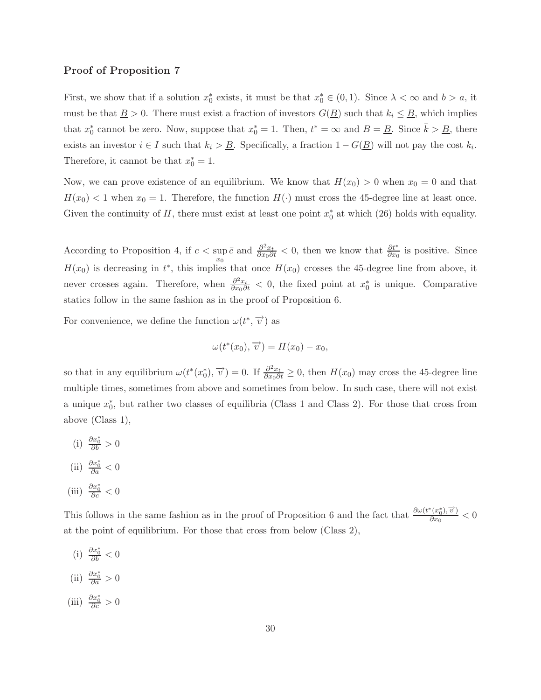### Proof of Proposition 7

First, we show that if a solution  $x_0^*$  exists, it must be that  $x_0^* \in (0,1)$ . Since  $\lambda < \infty$  and  $b > a$ , it must be that  $\underline{B} > 0$ . There must exist a fraction of investors  $G(\underline{B})$  such that  $k_i \leq \underline{B}$ , which implies that  $x_0^*$  cannot be zero. Now, suppose that  $x_0^* = 1$ . Then,  $t^* = \infty$  and  $B = \underline{B}$ . Since  $\bar{k} > \underline{B}$ , there exists an investor  $i \in I$  such that  $k_i > \underline{B}$ . Specifically, a fraction  $1 - G(\underline{B})$  will not pay the cost  $k_i$ . Therefore, it cannot be that  $x_0^* = 1$ .

Now, we can prove existence of an equilibrium. We know that  $H(x_0) > 0$  when  $x_0 = 0$  and that  $H(x_0) < 1$  when  $x_0 = 1$ . Therefore, the function  $H(\cdot)$  must cross the 45-degree line at least once. Given the continuity of H, there must exist at least one point  $x_0^*$  at which (26) holds with equality.

According to Proposition 4, if  $c < \sup$  $\overline{x_0}$  $\bar{c}$  and  $\frac{\partial^2 x_t}{\partial x_0 \partial t}$  < 0, then we know that  $\frac{\partial t^*}{\partial x_0}$  is positive. Since  $H(x_0)$  is decreasing in  $t^*$ , this implies that once  $H(x_0)$  crosses the 45-degree line from above, it never crosses again. Therefore, when  $\frac{\partial^2 x_t}{\partial x_0 \partial t} < 0$ , the fixed point at  $x_0^*$  is unique. Comparative statics follow in the same fashion as in the proof of Proposition 6.

For convenience, we define the function  $\omega(t^*, \overrightarrow{v})$  as

$$
\omega(t^*(x_0), \overrightarrow{v}) = H(x_0) - x_0,
$$

so that in any equilibrium  $\omega(t^*(x_0^*), \overrightarrow{v}) = 0$ . If  $\frac{\partial^2 x_t}{\partial x_0 \partial t} \ge 0$ , then  $H(x_0)$  may cross the 45-degree line multiple times, sometimes from above and sometimes from below. In such case, there will not exist a unique  $x_0^*$ , but rather two classes of equilibria (Class 1 and Class 2). For those that cross from above (Class 1),

- (i)  $\frac{\partial x_0^*}{\partial b} > 0$
- (ii)  $\frac{\partial x_0^*}{\partial a} < 0$
- (iii)  $\frac{\partial x_0^*}{\partial c} < 0$

This follows in the same fashion as in the proof of Proposition 6 and the fact that  $\frac{\partial \omega(t^*(x_0^*))\vec{v}}{\partial x_0}$  $\frac{\partial (x_0, v)}{\partial x_0} < 0$ at the point of equilibrium. For those that cross from below (Class 2),

(i)  $\frac{\partial x_0^*}{\partial b} < 0$ (ii)  $\frac{\partial x_0^*}{\partial a} > 0$ (iii)  $\frac{\partial x_0^*}{\partial c} > 0$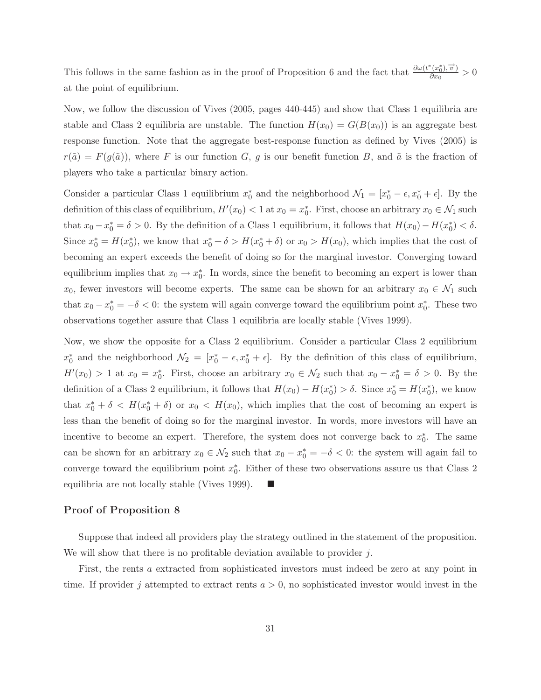This follows in the same fashion as in the proof of Proposition 6 and the fact that  $\frac{\partial \omega(t^*(x_0^*))\vec{v}}{\partial x_0}$  $\frac{\partial (x_0, v)}{\partial x_0} > 0$ at the point of equilibrium.

Now, we follow the discussion of Vives (2005, pages 440-445) and show that Class 1 equilibria are stable and Class 2 equilibria are unstable. The function  $H(x_0) = G(B(x_0))$  is an aggregate best response function. Note that the aggregate best-response function as defined by Vives (2005) is  $r(\tilde{a}) = F(g(\tilde{a}))$ , where F is our function G, g is our benefit function B, and  $\tilde{a}$  is the fraction of players who take a particular binary action.

Consider a particular Class 1 equilibrium  $x_0^*$  and the neighborhood  $\mathcal{N}_1 = [x_0^* - \epsilon, x_0^* + \epsilon]$ . By the definition of this class of equilibrium,  $H'(x_0) < 1$  at  $x_0 = x_0^*$ . First, choose an arbitrary  $x_0 \in \mathcal{N}_1$  such that  $x_0 - x_0^* = \delta > 0$ . By the definition of a Class 1 equilibrium, it follows that  $H(x_0) - H(x_0^*) < \delta$ . Since  $x_0^* = H(x_0^*)$ , we know that  $x_0^* + \delta > H(x_0^* + \delta)$  or  $x_0 > H(x_0)$ , which implies that the cost of becoming an expert exceeds the benefit of doing so for the marginal investor. Converging toward equilibrium implies that  $x_0 \to x_0^*$ . In words, since the benefit to becoming an expert is lower than  $x_0$ , fewer investors will become experts. The same can be shown for an arbitrary  $x_0 \in \mathcal{N}_1$  such that  $x_0 - x_0^* = -\delta < 0$ : the system will again converge toward the equilibrium point  $x_0^*$ . These two observations together assure that Class 1 equilibria are locally stable (Vives 1999).

Now, we show the opposite for a Class 2 equilibrium. Consider a particular Class 2 equilibrium  $x_0^*$  and the neighborhood  $\mathcal{N}_2 = [x_0^* - \epsilon, x_0^* + \epsilon]$ . By the definition of this class of equilibrium,  $H'(x_0) > 1$  at  $x_0 = x_0^*$ . First, choose an arbitrary  $x_0 \in \mathcal{N}_2$  such that  $x_0 - x_0^* = \delta > 0$ . By the definition of a Class 2 equilibrium, it follows that  $H(x_0) - H(x_0^*) > \delta$ . Since  $x_0^* = H(x_0^*)$ , we know that  $x_0^* + \delta < H(x_0^* + \delta)$  or  $x_0 < H(x_0)$ , which implies that the cost of becoming an expert is less than the benefit of doing so for the marginal investor. In words, more investors will have an incentive to become an expert. Therefore, the system does not converge back to  $x_0^*$ . The same can be shown for an arbitrary  $x_0 \in \mathcal{N}_2$  such that  $x_0 - x_0^* = -\delta < 0$ : the system will again fail to converge toward the equilibrium point  $x_0^*$ . Either of these two observations assure us that Class 2 equilibria are not locally stable (Vives 1999).  $\blacksquare$ 

#### Proof of Proposition 8

Suppose that indeed all providers play the strategy outlined in the statement of the proposition. We will show that there is no profitable deviation available to provider  $j$ .

First, the rents a extracted from sophisticated investors must indeed be zero at any point in time. If provider j attempted to extract rents  $a > 0$ , no sophisticated investor would invest in the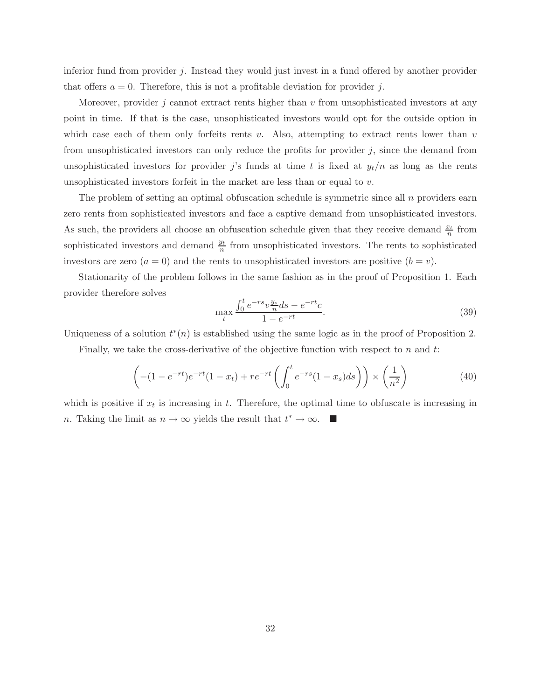inferior fund from provider j. Instead they would just invest in a fund offered by another provider that offers  $a = 0$ . Therefore, this is not a profitable deviation for provider j.

Moreover, provider  $j$  cannot extract rents higher than  $v$  from unsophisticated investors at any point in time. If that is the case, unsophisticated investors would opt for the outside option in which case each of them only forfeits rents v. Also, attempting to extract rents lower than v from unsophisticated investors can only reduce the profits for provider  $j$ , since the demand from unsophisticated investors for provider j's funds at time t is fixed at  $y_t/n$  as long as the rents unsophisticated investors for feit in the market are less than or equal to  $v$ .

The problem of setting an optimal obfuscation schedule is symmetric since all  $n$  providers earn zero rents from sophisticated investors and face a captive demand from unsophisticated investors. As such, the providers all choose an obfuscation schedule given that they receive demand  $\frac{x_t}{n}$  from sophisticated investors and demand  $\frac{y_t}{n}$  from unsophisticated investors. The rents to sophisticated investors are zero  $(a = 0)$  and the rents to unsophisticated investors are positive  $(b = v)$ .

Stationarity of the problem follows in the same fashion as in the proof of Proposition 1. Each provider therefore solves

$$
\max_{t} \frac{\int_{0}^{t} e^{-rs} v \frac{y_s}{n} ds - e^{-rt} c}{1 - e^{-rt}}.
$$
\n(39)

Uniqueness of a solution  $t^*(n)$  is established using the same logic as in the proof of Proposition 2.

Finally, we take the cross-derivative of the objective function with respect to  $n$  and  $t$ :

$$
\left(-(1 - e^{-rt})e^{-rt}(1 - x_t) + re^{-rt}\left(\int_0^t e^{-rs}(1 - x_s)ds\right)\right) \times \left(\frac{1}{n^2}\right)
$$
(40)

which is positive if  $x_t$  is increasing in t. Therefore, the optimal time to obfuscate is increasing in n. Taking the limit as  $n \to \infty$  yields the result that  $t^* \to \infty$ .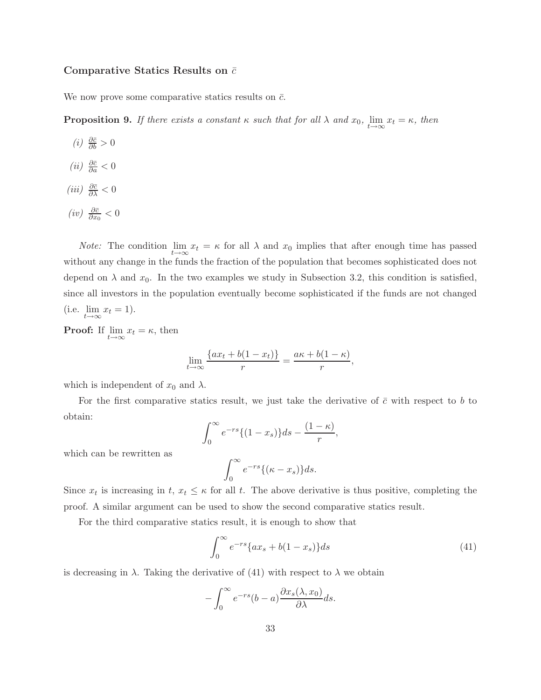### Comparative Statics Results on  $\bar{c}$

We now prove some comparative statics results on  $\bar{c}$ .

**Proposition 9.** If there exists a constant  $\kappa$  such that for all  $\lambda$  and  $x_0$ ,  $\lim_{t\to\infty} x_t = \kappa$ , then

- $(i) \frac{\partial \bar{c}}{\partial b} > 0$
- $(ii) \frac{\partial \bar{c}}{\partial a} < 0$
- $(iii) \frac{\partial \bar{c}}{\partial \lambda} < 0$
- $(iv) \frac{\partial \bar{c}}{\partial x_0} < 0$

*Note:* The condition  $\lim_{t\to\infty} x_t = \kappa$  for all  $\lambda$  and  $x_0$  implies that after enough time has passed without any change in the funds the fraction of the population that becomes sophisticated does not depend on  $\lambda$  and  $x_0$ . In the two examples we study in Subsection 3.2, this condition is satisfied, since all investors in the population eventually become sophisticated if the funds are not changed (i.e.  $\lim_{t\to\infty} x_t = 1$ ).

**Proof:** If  $\lim_{t \to \infty} x_t = \kappa$ , then

$$
\lim_{t \to \infty} \frac{\{ax_t + b(1 - x_t)\}}{r} = \frac{a\kappa + b(1 - \kappa)}{r},
$$

which is independent of  $x_0$  and  $\lambda$ .

For the first comparative statics result, we just take the derivative of  $\bar{c}$  with respect to b to obtain:

$$
\int_0^\infty e^{-rs}\{(1-x_s)\}ds-\frac{(1-\kappa)}{r},
$$

which can be rewritten as

$$
\int_0^\infty e^{-rs}\{(\kappa - x_s)\}ds.
$$

Since  $x_t$  is increasing in  $t, x_t \leq \kappa$  for all t. The above derivative is thus positive, completing the proof. A similar argument can be used to show the second comparative statics result.

For the third comparative statics result, it is enough to show that

$$
\int_0^\infty e^{-rs} \{ax_s + b(1 - x_s)\} ds
$$
 (41)

is decreasing in  $\lambda$ . Taking the derivative of (41) with respect to  $\lambda$  we obtain

$$
-\int_0^\infty e^{-rs}(b-a)\frac{\partial x_s(\lambda, x_0)}{\partial \lambda}ds.
$$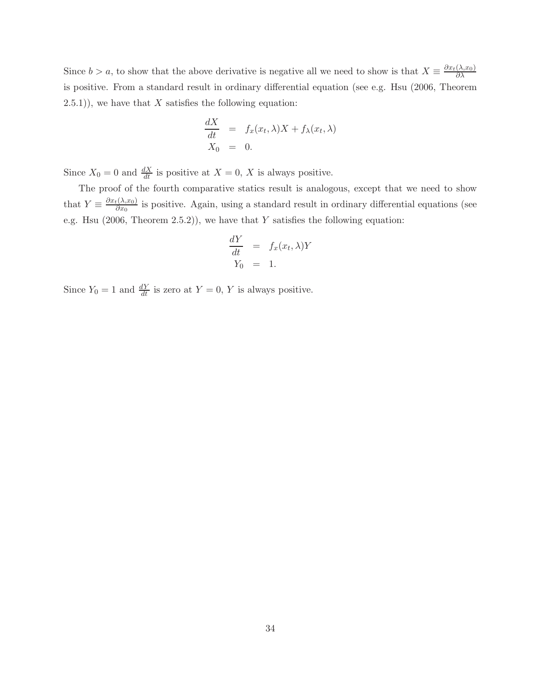Since  $b > a$ , to show that the above derivative is negative all we need to show is that  $X \equiv \frac{\partial x_t(\lambda, x_0)}{\partial \lambda}$ ∂λ is positive. From a standard result in ordinary differential equation (see e.g. Hsu (2006, Theorem  $(2.5.1)$ , we have that X satisfies the following equation:

$$
\frac{dX}{dt} = f_x(x_t, \lambda)X + f_{\lambda}(x_t, \lambda)
$$
  

$$
X_0 = 0.
$$

Since  $X_0 = 0$  and  $\frac{dX}{dt}$  is positive at  $X = 0$ , X is always positive.

The proof of the fourth comparative statics result is analogous, except that we need to show that  $Y \equiv \frac{\partial x_t(\lambda, x_0)}{\partial x_0}$  $\frac{\partial \{X_1, X_0\}}{\partial x_0}$  is positive. Again, using a standard result in ordinary differential equations (see e.g. Hsu  $(2006,$  Theorem 2.5.2)), we have that Y satisfies the following equation:

$$
\frac{dY}{dt} = f_x(x_t, \lambda)Y
$$
  
 
$$
Y_0 = 1.
$$

Since  $Y_0 = 1$  and  $\frac{dY}{dt}$  is zero at  $Y = 0$ , Y is always positive.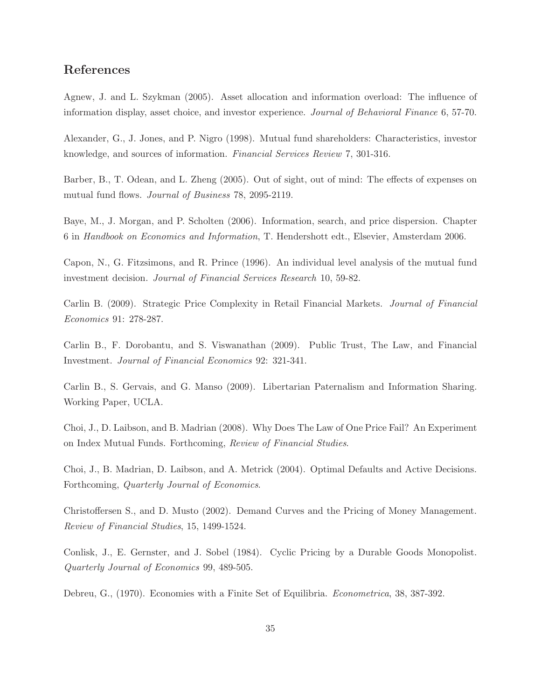# References

Agnew, J. and L. Szykman (2005). Asset allocation and information overload: The influence of information display, asset choice, and investor experience. Journal of Behavioral Finance 6, 57-70.

Alexander, G., J. Jones, and P. Nigro (1998). Mutual fund shareholders: Characteristics, investor knowledge, and sources of information. Financial Services Review 7, 301-316.

Barber, B., T. Odean, and L. Zheng (2005). Out of sight, out of mind: The effects of expenses on mutual fund flows. Journal of Business 78, 2095-2119.

Baye, M., J. Morgan, and P. Scholten (2006). Information, search, and price dispersion. Chapter 6 in Handbook on Economics and Information, T. Hendershott edt., Elsevier, Amsterdam 2006.

Capon, N., G. Fitzsimons, and R. Prince (1996). An individual level analysis of the mutual fund investment decision. Journal of Financial Services Research 10, 59-82.

Carlin B. (2009). Strategic Price Complexity in Retail Financial Markets. Journal of Financial Economics 91: 278-287.

Carlin B., F. Dorobantu, and S. Viswanathan (2009). Public Trust, The Law, and Financial Investment. Journal of Financial Economics 92: 321-341.

Carlin B., S. Gervais, and G. Manso (2009). Libertarian Paternalism and Information Sharing. Working Paper, UCLA.

Choi, J., D. Laibson, and B. Madrian (2008). Why Does The Law of One Price Fail? An Experiment on Index Mutual Funds. Forthcoming, Review of Financial Studies.

Choi, J., B. Madrian, D. Laibson, and A. Metrick (2004). Optimal Defaults and Active Decisions. Forthcoming, Quarterly Journal of Economics.

Christoffersen S., and D. Musto (2002). Demand Curves and the Pricing of Money Management. Review of Financial Studies, 15, 1499-1524.

Conlisk, J., E. Gernster, and J. Sobel (1984). Cyclic Pricing by a Durable Goods Monopolist. Quarterly Journal of Economics 99, 489-505.

Debreu, G., (1970). Economies with a Finite Set of Equilibria. Econometrica, 38, 387-392.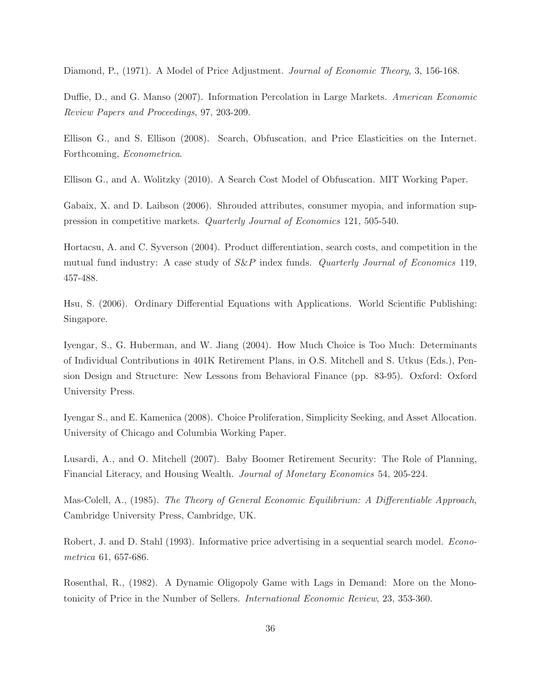Diamond, P., (1971). A Model of Price Adjustment. Journal of Economic Theory, 3, 156-168.

Duffie, D., and G. Manso (2007). Information Percolation in Large Markets. American Economic Review Papers and Proceedings, 97, 203-209.

Ellison G., and S. Ellison (2008). Search, Obfuscation, and Price Elasticities on the Internet. Forthcoming, Econometrica.

Ellison G., and A. Wolitzky (2010). A Search Cost Model of Obfuscation. MIT Working Paper.

Gabaix, X. and D. Laibson (2006). Shrouded attributes, consumer myopia, and information suppression in competitive markets. Quarterly Journal of Economics 121, 505-540.

Hortacsu, A. and C. Syverson (2004). Product differentiation, search costs, and competition in the mutual fund industry: A case study of  $S\&P$  index funds. *Quarterly Journal of Economics* 119, 457-488.

Hsu, S. (2006). Ordinary Differential Equations with Applications. World Scientific Publishing: Singapore.

Iyengar, S., G. Huberman, and W. Jiang (2004). How Much Choice is Too Much: Determinants of Individual Contributions in 401K Retirement Plans, in O.S. Mitchell and S. Utkus (Eds.), Pension Design and Structure: New Lessons from Behavioral Finance (pp. 83-95). Oxford: Oxford University Press.

Iyengar S., and E. Kamenica (2008). Choice Proliferation, Simplicity Seeking, and Asset Allocation. University of Chicago and Columbia Working Paper.

Lusardi, A., and O. Mitchell (2007). Baby Boomer Retirement Security: The Role of Planning, Financial Literacy, and Housing Wealth. Journal of Monetary Economics 54, 205-224.

Mas-Colell, A., (1985). The Theory of General Economic Equilibrium: A Differentiable Approach, Cambridge University Press, Cambridge, UK.

Robert, J. and D. Stahl (1993). Informative price advertising in a sequential search model. *Econo*metrica 61, 657-686.

Rosenthal, R., (1982). A Dynamic Oligopoly Game with Lags in Demand: More on the Monotonicity of Price in the Number of Sellers. International Economic Review, 23, 353-360.